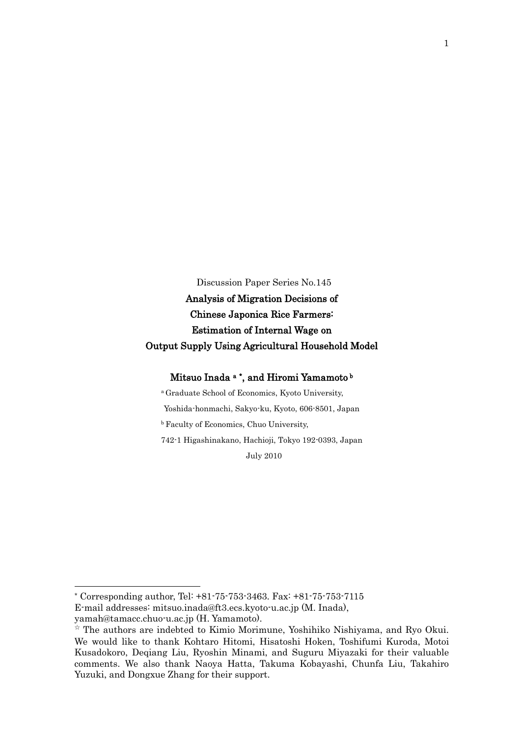Discussion Paper Series No.145

Analysis of Migration Decisions of Chinese Japonica Rice Farmers: Estimation of Internal Wage on Output Supply Using Agricultural Household Model

Mitsuo Inada <sup>a</sup> \*, and Hiromi Yamamoto <sup>b</sup>

<sup>a</sup> Graduate School of Economics, Kyoto University, Yoshida-honmachi, Sakyo-ku, Kyoto, 606-8501, Japan **b** Faculty of Economics, Chuo University, 742-1 Higashinakano, Hachioji, Tokyo 192-0393, Japan

July 2010

\* Corresponding author, Tel: +81-75-753-3463. Fax: +81-75-753-7115 E-mail addresses: [mitsuo.inada@ft3.ecs.kyoto-u.ac.jp](mailto:mitsuo.inada@ft3.ecs.kyoto-u.ac.jp) (M. Inada), [yamah@tamacc.chuo-u.ac.jp](mailto:yamah@tamacc.chuo-u.ac.jp) (H. Yamamoto).

 $\overline{\phantom{a}}$ 

 $\star$  The authors are indebted to Kimio Morimune, Yoshihiko Nishiyama, and Ryo Okui. We would like to thank Kohtaro Hitomi, Hisatoshi Hoken, Toshifumi Kuroda, Motoi Kusadokoro, Deqiang Liu, Ryoshin Minami, and Suguru Miyazaki for their valuable comments. We also thank Naoya Hatta, Takuma Kobayashi, Chunfa Liu, Takahiro Yuzuki, and Dongxue Zhang for their support.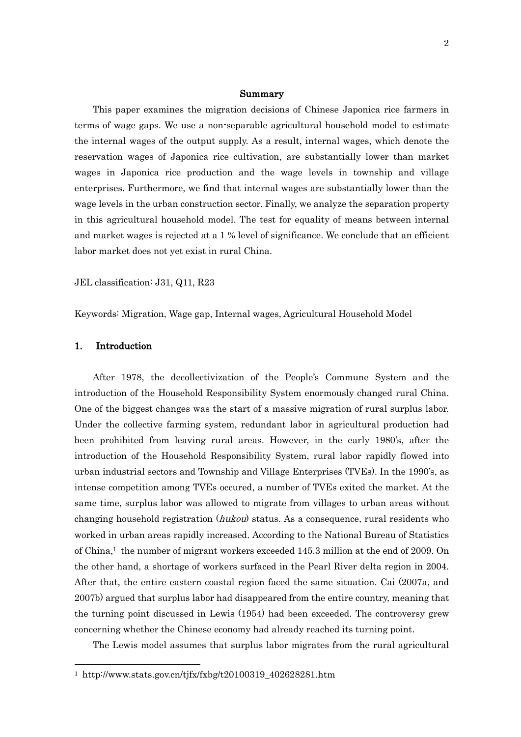#### Summary

This paper examines the migration decisions of Chinese Japonica rice farmers in terms of wage gaps. We use a non-separable agricultural household model to estimate the internal wages of the output supply. As a result, internal wages, which denote the reservation wages of Japonica rice cultivation, are substantially lower than market wages in Japonica rice production and the wage levels in township and village enterprises. Furthermore, we find that internal wages are substantially lower than the wage levels in the urban construction sector. Finally, we analyze the separation property in this agricultural household model. The test for equality of means between internal and market wages is rejected at a 1 % level of significance. We conclude that an efficient labor market does not yet exist in rural China.

JEL classification: J31, Q11, R23

Keywords: Migration, Wage gap, Internal wages, Agricultural Household Model

# 1. Introduction

 $\overline{a}$ 

After 1978, the decollectivization of the People's Commune System and the introduction of the Household Responsibility System enormously changed rural China. One of the biggest changes was the start of a massive migration of rural surplus labor. Under the collective farming system, redundant labor in agricultural production had been prohibited from leaving rural areas. However, in the early 1980"s, after the introduction of the Household Responsibility System, rural labor rapidly flowed into urban industrial sectors and Township and Village Enterprises (TVEs). In the 1990"s, as intense competition among TVEs occured, a number of TVEs exited the market. At the same time, surplus labor was allowed to migrate from villages to urban areas without changing household registration (*hukou*) status. As a consequence, rural residents who worked in urban areas rapidly increased. According to the National Bureau of Statistics of China, <sup>1</sup> the number of migrant workers exceeded 145.3 million at the end of 2009. On the other hand, a shortage of workers surfaced in the Pearl River delta region in 2004. After that, the entire eastern coastal region faced the same situation. Cai (2007a, and 2007b) argued that surplus labor had disappeared from the entire country, meaning that the turning point discussed in Lewis (1954) had been exceeded. The controversy grew concerning whether the Chinese economy had already reached its turning point.

The Lewis model assumes that surplus labor migrates from the rural agricultural

<sup>1</sup> http://www.stats.gov.cn/tjfx/fxbg/t20100319\_402628281.htm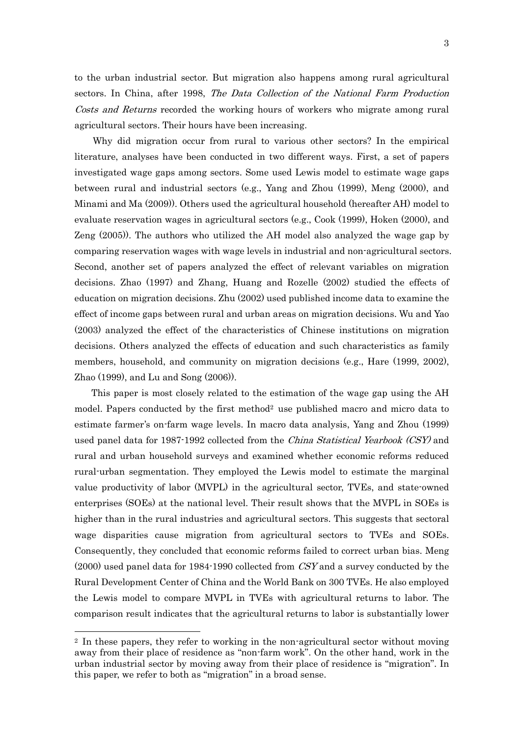to the urban industrial sector. But migration also happens among rural agricultural sectors. In China, after 1998, The Data Collection of the National Farm Production Costs and Returns recorded the working hours of workers who migrate among rural agricultural sectors. Their hours have been increasing.

Why did migration occur from rural to various other sectors? In the empirical literature, analyses have been conducted in two different ways. First, a set of papers investigated wage gaps among sectors. Some used Lewis model to estimate wage gaps between rural and industrial sectors (e.g., Yang and Zhou (1999), Meng (2000), and Minami and Ma (2009)). Others used the agricultural household (hereafter AH) model to evaluate reservation wages in agricultural sectors (e.g., Cook (1999), Hoken (2000), and Zeng (2005)). The authors who utilized the AH model also analyzed the wage gap by comparing reservation wages with wage levels in industrial and non-agricultural sectors. Second, another set of papers analyzed the effect of relevant variables on migration decisions. Zhao (1997) and Zhang, Huang and Rozelle (2002) studied the effects of education on migration decisions. Zhu (2002) used published income data to examine the effect of income gaps between rural and urban areas on migration decisions. Wu and Yao (2003) analyzed the effect of the characteristics of Chinese institutions on migration decisions. Others analyzed the effects of education and such characteristics as family members, household, and community on migration decisions (e.g., Hare (1999, 2002), Zhao (1999), and Lu and Song (2006)).

This paper is most closely related to the estimation of the wage gap using the AH model. Papers conducted by the first method<sup>2</sup> use published macro and micro data to estimate farmer"s on-farm wage levels. In macro data analysis, Yang and Zhou (1999) used panel data for 1987-1992 collected from the *China Statistical Yearbook (CSY)* and rural and urban household surveys and examined whether economic reforms reduced rural-urban segmentation. They employed the Lewis model to estimate the marginal value productivity of labor (MVPL) in the agricultural sector, TVEs, and state-owned enterprises (SOEs) at the national level. Their result shows that the MVPL in SOEs is higher than in the rural industries and agricultural sectors. This suggests that sectoral wage disparities cause migration from agricultural sectors to TVEs and SOEs. Consequently, they concluded that economic reforms failed to correct urban bias. Meng  $(2000)$  used panel data for 1984-1990 collected from CSY and a survey conducted by the Rural Development Center of China and the World Bank on 300 TVEs. He also employed the Lewis model to compare MVPL in TVEs with agricultural returns to labor. The comparison result indicates that the agricultural returns to labor is substantially lower

<sup>2</sup> In these papers, they refer to working in the non-agricultural sector without moving away from their place of residence as "non-farm work". On the other hand, work in the urban industrial sector by moving away from their place of residence is "migration". In this paper, we refer to both as "migration" in a broad sense.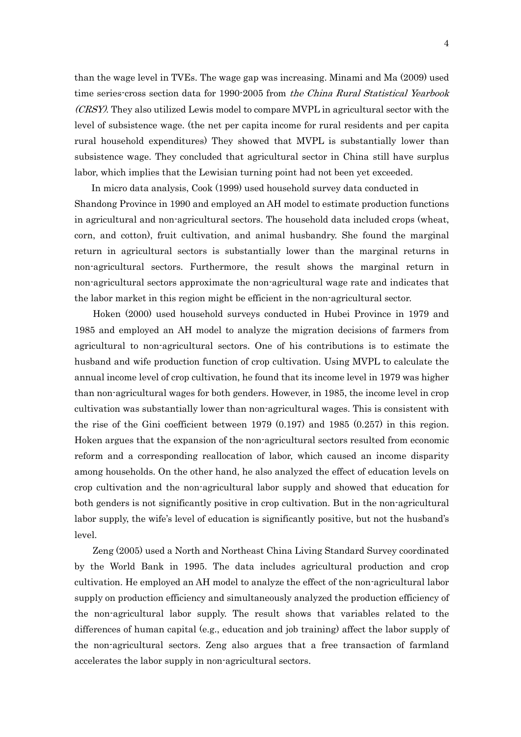than the wage level in TVEs. The wage gap was increasing. Minami and Ma (2009) used time series-cross section data for 1990-2005 from the China Rural Statistical Yearbook (CRSY). They also utilized Lewis model to compare MVPL in agricultural sector with the level of subsistence wage. (the net per capita income for rural residents and per capita rural household expenditures) They showed that MVPL is substantially lower than subsistence wage. They concluded that agricultural sector in China still have surplus labor, which implies that the Lewisian turning point had not been yet exceeded.

In micro data analysis, Cook (1999) used household survey data conducted in Shandong Province in 1990 and employed an AH model to estimate production functions in agricultural and non-agricultural sectors. The household data included crops (wheat, corn, and cotton), fruit cultivation, and animal husbandry. She found the marginal return in agricultural sectors is substantially lower than the marginal returns in non-agricultural sectors. Furthermore, the result shows the marginal return in non-agricultural sectors approximate the non-agricultural wage rate and indicates that the labor market in this region might be efficient in the non-agricultural sector.

Hoken (2000) used household surveys conducted in Hubei Province in 1979 and 1985 and employed an AH model to analyze the migration decisions of farmers from agricultural to non-agricultural sectors. One of his contributions is to estimate the husband and wife production function of crop cultivation. Using MVPL to calculate the annual income level of crop cultivation, he found that its income level in 1979 was higher than non-agricultural wages for both genders. However, in 1985, the income level in crop cultivation was substantially lower than non-agricultural wages. This is consistent with the rise of the Gini coefficient between 1979 (0.197) and 1985 (0.257) in this region. Hoken argues that the expansion of the non-agricultural sectors resulted from economic reform and a corresponding reallocation of labor, which caused an income disparity among households. On the other hand, he also analyzed the effect of education levels on crop cultivation and the non-agricultural labor supply and showed that education for both genders is not significantly positive in crop cultivation. But in the non-agricultural labor supply, the wife's level of education is significantly positive, but not the husband's level.

 Zeng (2005) used a North and Northeast China Living Standard Survey coordinated by the World Bank in 1995. The data includes agricultural production and crop cultivation. He employed an AH model to analyze the effect of the non-agricultural labor supply on production efficiency and simultaneously analyzed the production efficiency of the non-agricultural labor supply. The result shows that variables related to the differences of human capital (e.g., education and job training) affect the labor supply of the non-agricultural sectors. Zeng also argues that a free transaction of farmland accelerates the labor supply in non-agricultural sectors.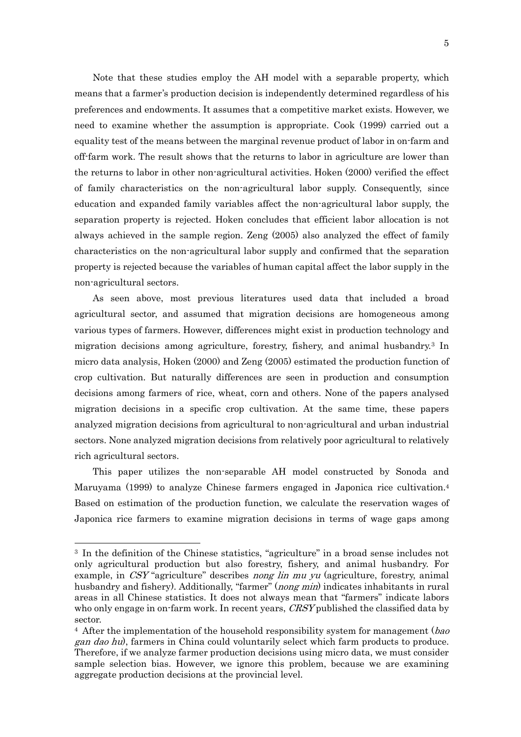Note that these studies employ the AH model with a separable property, which means that a farmer"s production decision is independently determined regardless of his preferences and endowments. It assumes that a competitive market exists. However, we need to examine whether the assumption is appropriate. Cook (1999) carried out a equality test of the means between the marginal revenue product of labor in on-farm and off-farm work. The result shows that the returns to labor in agriculture are lower than the returns to labor in other non-agricultural activities. Hoken (2000) verified the effect of family characteristics on the non-agricultural labor supply. Consequently, since education and expanded family variables affect the non-agricultural labor supply, the separation property is rejected. Hoken concludes that efficient labor allocation is not always achieved in the sample region. Zeng (2005) also analyzed the effect of family characteristics on the non-agricultural labor supply and confirmed that the separation property is rejected because the variables of human capital affect the labor supply in the non-agricultural sectors.

 As seen above, most previous literatures used data that included a broad agricultural sector, and assumed that migration decisions are homogeneous among various types of farmers. However, differences might exist in production technology and migration decisions among agriculture, forestry, fishery, and animal husbandry.<sup>3</sup> In micro data analysis, Hoken (2000) and Zeng (2005) estimated the production function of crop cultivation. But naturally differences are seen in production and consumption decisions among farmers of rice, wheat, corn and others. None of the papers analysed migration decisions in a specific crop cultivation. At the same time, these papers analyzed migration decisions from agricultural to non-agricultural and urban industrial sectors. None analyzed migration decisions from relatively poor agricultural to relatively rich agricultural sectors.

 This paper utilizes the non-separable AH model constructed by Sonoda and Maruyama (1999) to analyze Chinese farmers engaged in Japonica rice cultivation. 4 Based on estimation of the production function, we calculate the reservation wages of Japonica rice farmers to examine migration decisions in terms of wage gaps among

<sup>3</sup> In the definition of the Chinese statistics, "agriculture" in a broad sense includes not only agricultural production but also forestry, fishery, and animal husbandry. For example, in CSY "agriculture" describes nong lin mu yu (agriculture, forestry, animal husbandry and fishery). Additionally, "farmer" (*nong min*) indicates inhabitants in rural areas in all Chinese statistics. It does not always mean that "farmers" indicate labors who only engage in on-farm work. In recent years, *CRSY* published the classified data by sector.

 $4$  After the implementation of the household responsibility system for management ( $bao$ gan dao hu), farmers in China could voluntarily select which farm products to produce. Therefore, if we analyze farmer production decisions using micro data, we must consider sample selection bias. However, we ignore this problem, because we are examining aggregate production decisions at the provincial level.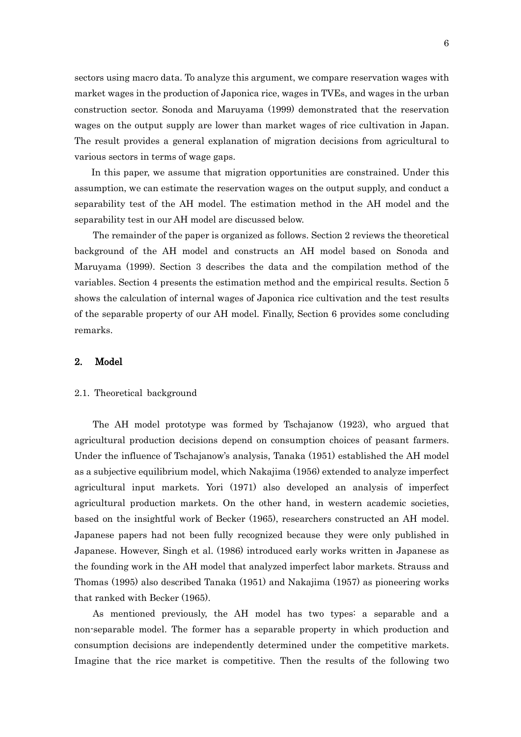sectors using macro data. To analyze this argument, we compare reservation wages with market wages in the production of Japonica rice, wages in TVEs, and wages in the urban construction sector. Sonoda and Maruyama (1999) demonstrated that the reservation wages on the output supply are lower than market wages of rice cultivation in Japan. The result provides a general explanation of migration decisions from agricultural to various sectors in terms of wage gaps.

In this paper, we assume that migration opportunities are constrained. Under this assumption, we can estimate the reservation wages on the output supply, and conduct a separability test of the AH model. The estimation method in the AH model and the separability test in our AH model are discussed below.

The remainder of the paper is organized as follows. Section 2 reviews the theoretical background of the AH model and constructs an AH model based on Sonoda and Maruyama (1999). Section 3 describes the data and the compilation method of the variables. Section 4 presents the estimation method and the empirical results. Section 5 shows the calculation of internal wages of Japonica rice cultivation and the test results of the separable property of our AH model. Finally, Section 6 provides some concluding remarks.

# 2. Model

#### 2.1. Theoretical background

 The AH model prototype was formed by Tschajanow (1923), who argued that agricultural production decisions depend on consumption choices of peasant farmers. Under the influence of Tschajanow's analysis, Tanaka (1951) established the AH model as a subjective equilibrium model, which Nakajima (1956) extended to analyze imperfect agricultural input markets. Yori (1971) also developed an analysis of imperfect agricultural production markets. On the other hand, in western academic societies, based on the insightful work of Becker (1965), researchers constructed an AH model. Japanese papers had not been fully recognized because they were only published in Japanese. However, Singh et al. (1986) introduced early works written in Japanese as the founding work in the AH model that analyzed imperfect labor markets. Strauss and Thomas (1995) also described Tanaka (1951) and Nakajima (1957) as pioneering works that ranked with Becker (1965).

 As mentioned previously, the AH model has two types: a separable and a non-separable model. The former has a separable property in which production and consumption decisions are independently determined under the competitive markets. Imagine that the rice market is competitive. Then the results of the following two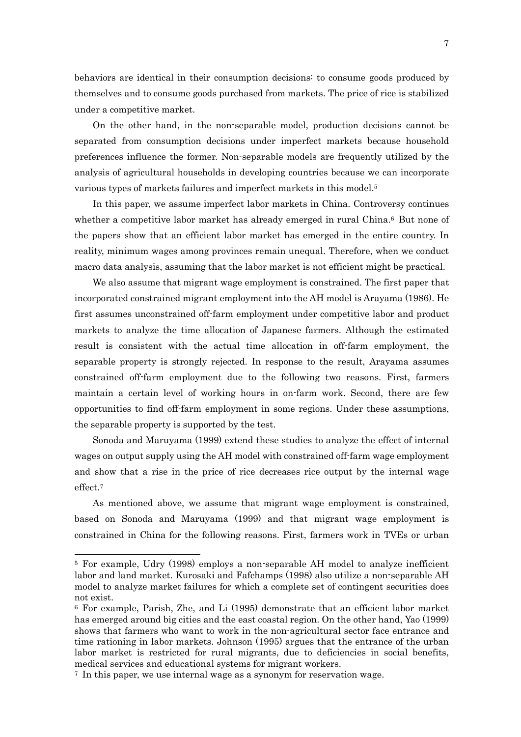behaviors are identical in their consumption decisions: to consume goods produced by themselves and to consume goods purchased from markets. The price of rice is stabilized under a competitive market.

 On the other hand, in the non-separable model, production decisions cannot be separated from consumption decisions under imperfect markets because household preferences influence the former. Non-separable models are frequently utilized by the analysis of agricultural households in developing countries because we can incorporate various types of markets failures and imperfect markets in this model.<sup>5</sup>

 In this paper, we assume imperfect labor markets in China. Controversy continues whether a competitive labor market has already emerged in rural China.<sup>6</sup> But none of the papers show that an efficient labor market has emerged in the entire country. In reality, minimum wages among provinces remain unequal. Therefore, when we conduct macro data analysis, assuming that the labor market is not efficient might be practical.

 We also assume that migrant wage employment is constrained. The first paper that incorporated constrained migrant employment into the AH model is Arayama (1986). He first assumes unconstrained off-farm employment under competitive labor and product markets to analyze the time allocation of Japanese farmers. Although the estimated result is consistent with the actual time allocation in off-farm employment, the separable property is strongly rejected. In response to the result, Arayama assumes constrained off-farm employment due to the following two reasons. First, farmers maintain a certain level of working hours in on-farm work. Second, there are few opportunities to find off-farm employment in some regions. Under these assumptions, the separable property is supported by the test.

 Sonoda and Maruyama (1999) extend these studies to analyze the effect of internal wages on output supply using the AH model with constrained off-farm wage employment and show that a rise in the price of rice decreases rice output by the internal wage effect. 7

 As mentioned above, we assume that migrant wage employment is constrained, based on Sonoda and Maruyama (1999) and that migrant wage employment is constrained in China for the following reasons. First, farmers work in TVEs or urban

<sup>5</sup> For example, Udry (1998) employs a non-separable AH model to analyze inefficient labor and land market. Kurosaki and Fafchamps (1998) also utilize a non-separable AH model to analyze market failures for which a complete set of contingent securities does not exist.

<sup>6</sup> For example, Parish, Zhe, and Li (1995) demonstrate that an efficient labor market has emerged around big cities and the east coastal region. On the other hand, Yao (1999) shows that farmers who want to work in the non-agricultural sector face entrance and time rationing in labor markets. Johnson (1995) argues that the entrance of the urban labor market is restricted for rural migrants, due to deficiencies in social benefits, medical services and educational systems for migrant workers.

<sup>7</sup> In this paper, we use internal wage as a synonym for reservation wage.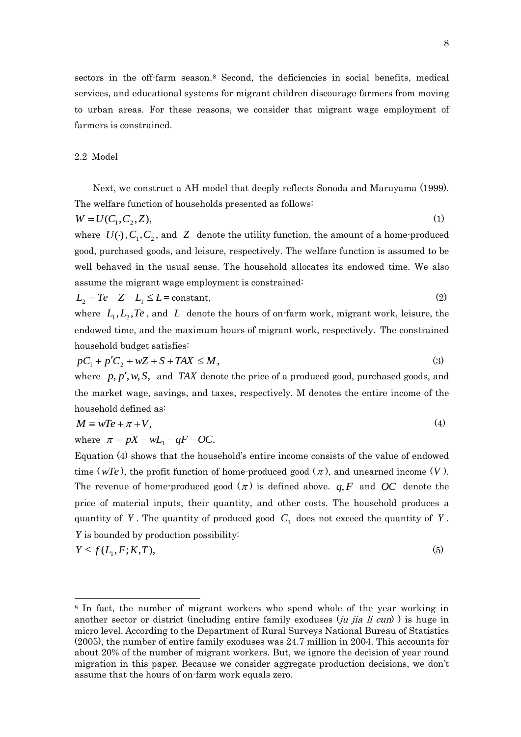sectors in the off-farm season.<sup>8</sup> Second, the deficiencies in social benefits, medical services, and educational systems for migrant children discourage farmers from moving to urban areas. For these reasons, we consider that migrant wage employment of farmers is constrained.

#### 2.2 Model

Next, we construct a AH model that deeply reflects Sonoda and Maruyama (1999). The welfare function of households presented as follows:

$$
W = U(C_1, C_2, Z),\tag{1}
$$

where  $U(\cdot), C_1, C_2$ , and Z denote the utility function, the amount of a home-produced good, purchased goods, and leisure, respectively. The welfare function is assumed to be well behaved in the usual sense. The household allocates its endowed time. We also assume the migrant wage employment is constrained:

$$
L_2 = Te - Z - L_1 \le L = \text{constant},\tag{2}
$$

where  $L_1, L_2, Te$ , and  $L$  denote the hours of on-farm work, migrant work, leisure, the endowed time, and the maximum hours of migrant work, respectively. The constrained household budget satisfies:

$$
pC_1 + p'C_2 + wZ + S + TAX \le M,
$$
\n<sup>(3)</sup>

where  $p, p', w, S$ , and *TAX* denote the price of a produced good, purchased goods, and the market wage, savings, and taxes, respectively. M denotes the entire income of the household defined as:

$$
M \equiv wTe + \pi + V,\tag{4}
$$

where 
$$
\pi = pX - wL_1 - qF - OC
$$
.

Equation (4) shows that the household"s entire income consists of the value of endowed time ( $wTe$ ), the profit function of home-produced good ( $\pi$ ), and unearned income (V). The revenue of home-produced good  $(\pi)$  is defined above.  $q, F$  and OC denote the price of material inputs, their quantity, and other costs. The household produces a quantity of Y. The quantity of produced good  $C_1$  does not exceed the quantity of Y. *Y* is bounded by production possibility:

$$
Y \le f(L_1, F; K, T),\tag{5}
$$

 $\overline{a}$ 

$$
(5)
$$

<sup>8</sup> In fact, the number of migrant workers who spend whole of the year working in another sector or district (including entire family exoduses  $(iu$  *jia li cun*) is huge in micro level. According to the Department of Rural Surveys National Bureau of Statistics (2005), the number of entire family exoduses was 24.7 million in 2004. This accounts for about 20% of the number of migrant workers. But, we ignore the decision of year round migration in this paper. Because we consider aggregate production decisions, we don"t assume that the hours of on-farm work equals zero.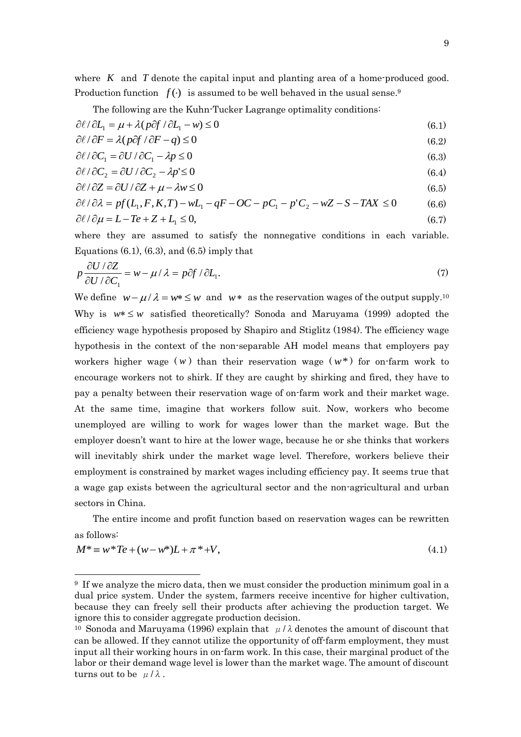where  $K$  and  $T$  denote the capital input and planting area of a home-produced good. Production function  $f(\cdot)$  is assumed to be well behaved in the usual sense.<sup>9</sup>

The following are the Kuhn-Tucker Lagrange optimality conditions:

$$
\partial \ell / \partial L_1 = \mu + \lambda (p \partial f / \partial L_1 - w) \le 0 \tag{6.1}
$$

$$
\partial \ell / \partial F = \lambda (p \partial f / \partial F - q) \le 0 \tag{6.2}
$$

$$
\partial \ell / \partial C_1 = \partial U / \partial C_1 - \lambda p \le 0 \tag{6.3}
$$

$$
\partial \ell / \partial C_2 = \partial U / \partial C_2 - \lambda p \le 0 \tag{6.4}
$$

$$
\frac{\partial \ell}{\partial Z} = \frac{\partial U}{\partial Z} + \mu - \lambda w \le 0 \tag{6.5}
$$

$$
\partial \ell / \partial \lambda = pf(L_1, F, K, T) - wL_1 - qF - OC - pC_1 - p'C_2 - wZ - S - TAX \le 0 \tag{6.6}
$$
  

$$
\partial \ell / \partial \mu = L - Te + Z + L_1 \le 0, \tag{6.7}
$$

where they are assumed to satisfy the nonnegative conditions in each variable. Equations  $(6.1)$ ,  $(6.3)$ , and  $(6.5)$  imply that

$$
p\frac{\partial U/\partial Z}{\partial U/\partial C_1} = w - \mu/\lambda = p\partial f/\partial L_1.
$$
 (7)

We define  $w - \mu / \lambda = w^* \leq w$  and  $w^*$  as the reservation wages of the output supply.<sup>10</sup> Why is  $w^* \leq w$  satisfied theoretically? Sonoda and Maruyama (1999) adopted the efficiency wage hypothesis proposed by Shapiro and Stiglitz (1984). The efficiency wage hypothesis in the context of the non-separable AH model means that employers pay workers higher wage  $(w)$  than their reservation wage  $(w^*)$  for on-farm work to encourage workers not to shirk. If they are caught by shirking and fired, they have to pay a penalty between their reservation wage of on-farm work and their market wage. At the same time, imagine that workers follow suit. Now, workers who become unemployed are willing to work for wages lower than the market wage. But the employer doesn"t want to hire at the lower wage, because he or she thinks that workers will inevitably shirk under the market wage level. Therefore, workers believe their employment is constrained by market wages including efficiency pay. It seems true that a wage gap exists between the agricultural sector and the non-agricultural and urban sectors in China.

The entire income and profit function based on reservation wages can be rewritten as follows:

$$
M^* \equiv w^*Te + (w - w^*)L + \pi^* + V,\tag{4.1}
$$

<sup>9</sup> If we analyze the micro data, then we must consider the production minimum goal in a dual price system. Under the system, farmers receive incentive for higher cultivation, because they can freely sell their products after achieving the production target. We ignore this to consider aggregate production decision.

<sup>&</sup>lt;sup>10</sup> Sonoda and Maruyama (1996) explain that  $\mu/\lambda$  denotes the amount of discount that can be allowed. If they cannot utilize the opportunity of off-farm employment, they must input all their working hours in on-farm work. In this case, their marginal product of the labor or their demand wage level is lower than the market wage. The amount of discount turns out to be  $\mu/\lambda$ .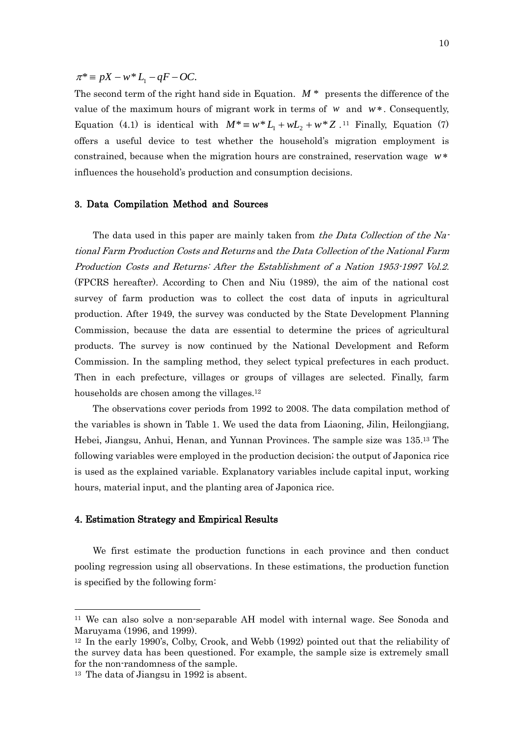$\pi^* \equiv pX - w^*L_1 - qF - OC.$ 

The second term of the right hand side in Equation.  $M^*$  presents the difference of the value of the maximum hours of migrant work in terms of  $w$  and  $w^*$ . Consequently, Equation (4.1) is identical with  $M^* \equiv w^* L_1 + wL_2 + w^* Z$ .<sup>11</sup> Finally, Equation (7) offers a useful device to test whether the household"s migration employment is constrained, because when the migration hours are constrained, reservation wage *w* influences the household"s production and consumption decisions.

#### 3. Data Compilation Method and Sources

The data used in this paper are mainly taken from the Data Collection of the National Farm Production Costs and Returns and the Data Collection of the National Farm Production Costs and Returns: After the Establishment of a Nation 1953-1997 Vol.2. (FPCRS hereafter). According to Chen and Niu (1989), the aim of the national cost survey of farm production was to collect the cost data of inputs in agricultural production. After 1949, the survey was conducted by the State Development Planning Commission, because the data are essential to determine the prices of agricultural products. The survey is now continued by the National Development and Reform Commission. In the sampling method, they select typical prefectures in each product. Then in each prefecture, villages or groups of villages are selected. Finally, farm households are chosen among the villages.<sup>12</sup>

 The observations cover periods from 1992 to 2008. The data compilation method of the variables is shown in Table 1. We used the data from Liaoning, Jilin, Heilongjiang, Hebei, Jiangsu, Anhui, Henan, and Yunnan Provinces. The sample size was 135. <sup>13</sup> The following variables were employed in the production decision; the output of Japonica rice is used as the explained variable. Explanatory variables include capital input, working hours, material input, and the planting area of Japonica rice.

#### 4. Estimation Strategy and Empirical Results

We first estimate the production functions in each province and then conduct pooling regression using all observations. In these estimations, the production function is specified by the following form:

<sup>11</sup> We can also solve a non-separable AH model with internal wage. See Sonoda and Maruyama (1996, and 1999).

<sup>12</sup> In the early 1990"s, Colby, Crook, and Webb (1992) pointed out that the reliability of the survey data has been questioned. For example, the sample size is extremely small for the non-randomness of the sample.

<sup>13</sup> The data of Jiangsu in 1992 is absent.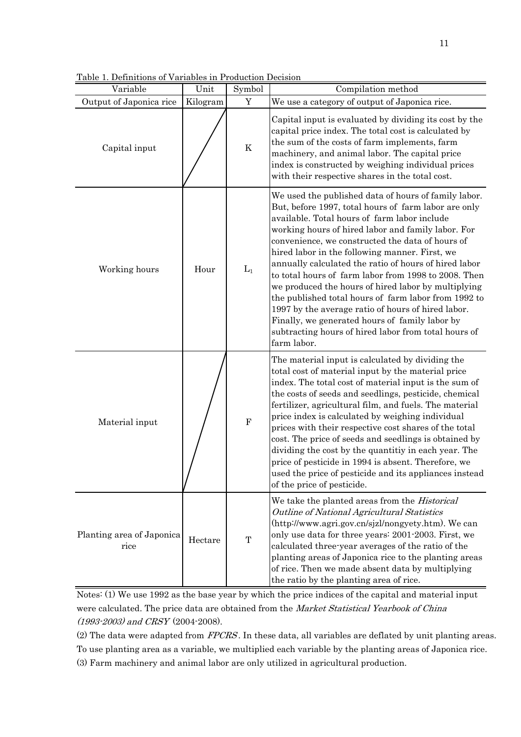| Variable                          | Unit     | Symbol         | Compilation method                                                                                                                                                                                                                                                                                                                                                                                                                                                                                                                                                                                                                                                                                                                      |
|-----------------------------------|----------|----------------|-----------------------------------------------------------------------------------------------------------------------------------------------------------------------------------------------------------------------------------------------------------------------------------------------------------------------------------------------------------------------------------------------------------------------------------------------------------------------------------------------------------------------------------------------------------------------------------------------------------------------------------------------------------------------------------------------------------------------------------------|
| Output of Japonica rice           | Kilogram | Y              | We use a category of output of Japonica rice.                                                                                                                                                                                                                                                                                                                                                                                                                                                                                                                                                                                                                                                                                           |
| Capital input                     |          | $\rm K$        | Capital input is evaluated by dividing its cost by the<br>capital price index. The total cost is calculated by<br>the sum of the costs of farm implements, farm<br>machinery, and animal labor. The capital price<br>index is constructed by weighing individual prices<br>with their respective shares in the total cost.                                                                                                                                                                                                                                                                                                                                                                                                              |
| Working hours                     | Hour     | $\mathbf{L}_1$ | We used the published data of hours of family labor.<br>But, before 1997, total hours of farm labor are only<br>available. Total hours of farm labor include<br>working hours of hired labor and family labor. For<br>convenience, we constructed the data of hours of<br>hired labor in the following manner. First, we<br>annually calculated the ratio of hours of hired labor<br>to total hours of farm labor from 1998 to 2008. Then<br>we produced the hours of hired labor by multiplying<br>the published total hours of farm labor from 1992 to<br>1997 by the average ratio of hours of hired labor.<br>Finally, we generated hours of family labor by<br>subtracting hours of hired labor from total hours of<br>farm labor. |
| Material input                    |          | ${\bf F}$      | The material input is calculated by dividing the<br>total cost of material input by the material price<br>index. The total cost of material input is the sum of<br>the costs of seeds and seedlings, pesticide, chemical<br>fertilizer, agricultural film, and fuels. The material<br>price index is calculated by weighing individual<br>prices with their respective cost shares of the total<br>cost. The price of seeds and seedlings is obtained by<br>dividing the cost by the quantitiy in each year. The<br>price of pesticide in 1994 is absent. Therefore, we<br>used the price of pesticide and its appliances instead<br>of the price of pesticide.                                                                         |
| Planting area of Japonica<br>rice | Hectare  | $\mathbf T$    | We take the planted areas from the <i>Historical</i><br>Outline of National Agricultural Statistics<br>(http://www.agri.gov.cn/sjzl/nongyety.htm). We can<br>only use data for three years: 2001-2003. First, we<br>calculated three-year averages of the ratio of the<br>planting areas of Japonica rice to the planting areas<br>of rice. Then we made absent data by multiplying<br>the ratio by the planting area of rice.                                                                                                                                                                                                                                                                                                          |

Table 1. Definitions of Variables in Production Decision

Notes: (1) We use 1992 as the base year by which the price indices of the capital and material input were calculated. The price data are obtained from the Market Statistical Yearbook of China (1993-2003) and CRSY (2004-2008).

(2) The data were adapted from FPCRS . In these data, all variables are deflated by unit planting areas.

To use planting area as a variable, we multiplied each variable by the planting areas of Japonica rice.

(3) Farm machinery and animal labor are only utilized in agricultural production.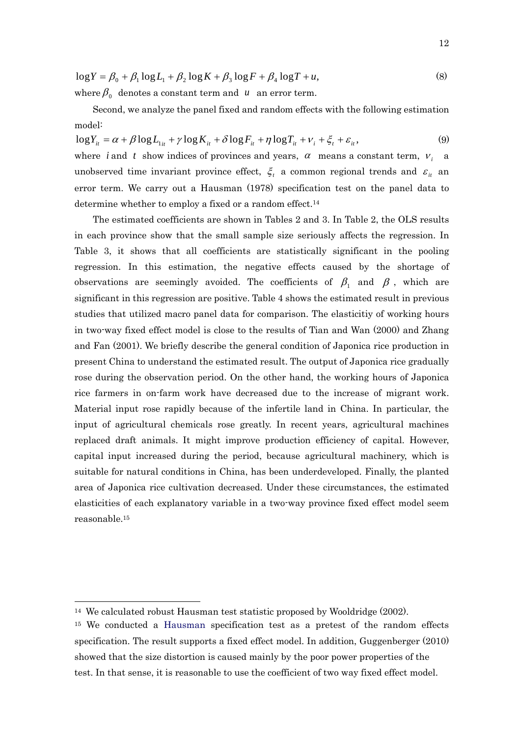$$
\log Y = \beta_0 + \beta_1 \log L_1 + \beta_2 \log K + \beta_3 \log F + \beta_4 \log T + u,
$$
\n(8)

\nwhere  $\beta_0$  denotes a constant term and  $u$  an error term.

 Second, we analyze the panel fixed and random effects with the following estimation model:

 $\log Y_{it} = \alpha + \beta \log L_{1it} + \gamma \log K_{it} + \delta \log F_{it} + \eta \log T_{it} + \nu_i + \xi_t + \varepsilon_{it}$ where *i* and *t* show indices of provinces and years,  $\alpha$  means a constant term,  $V_i$  a unobserved time invariant province effect,  $\zeta_i$  a common regional trends and  $\varepsilon_{it}$  and error term. We carry out a Hausman (1978) specification test on the panel data to determine whether to employ a fixed or a random effect.<sup>14</sup> (9)

The estimated coefficients are shown in Tables 2 and 3. In Table 2, the OLS results in each province show that the small sample size seriously affects the regression. In Table 3, it shows that all coefficients are statistically significant in the pooling regression. In this estimation, the negative effects caused by the shortage of observations are seemingly avoided. The coefficients of  $\beta_1$  and  $\beta$  , which are significant in this regression are positive. Table 4 shows the estimated result in previous studies that utilized macro panel data for comparison. The elasticitiy of working hours in two-way fixed effect model is close to the results of Tian and Wan (2000) and Zhang and Fan (2001). We briefly describe the general condition of Japonica rice production in present China to understand the estimated result. The output of Japonica rice gradually rose during the observation period. On the other hand, the working hours of Japonica rice farmers in on-farm work have decreased due to the increase of migrant work. Material input rose rapidly because of the infertile land in China. In particular, the input of agricultural chemicals rose greatly. In recent years, agricultural machines replaced draft animals. It might improve production efficiency of capital. However, capital input increased during the period, because agricultural machinery, which is suitable for natural conditions in China, has been underdeveloped. Finally, the planted area of Japonica rice cultivation decreased. Under these circumstances, the estimated elasticities of each explanatory variable in a two-way province fixed effect model seem reasonable.<sup>15</sup>

 $\overline{a}$ 

<sup>&</sup>lt;sup>14</sup> We calculated robust Hausman test statistic proposed by Wooldridge (2002).

<sup>&</sup>lt;sup>15</sup> We conducted a Hausman specification test as a pretest of the random effects specification. The result supports a fixed effect model. In addition, Guggenberger (2010) showed that the size distortion is caused mainly by the poor power properties of the test. In that sense, it is reasonable to use the coefficient of two way fixed effect model.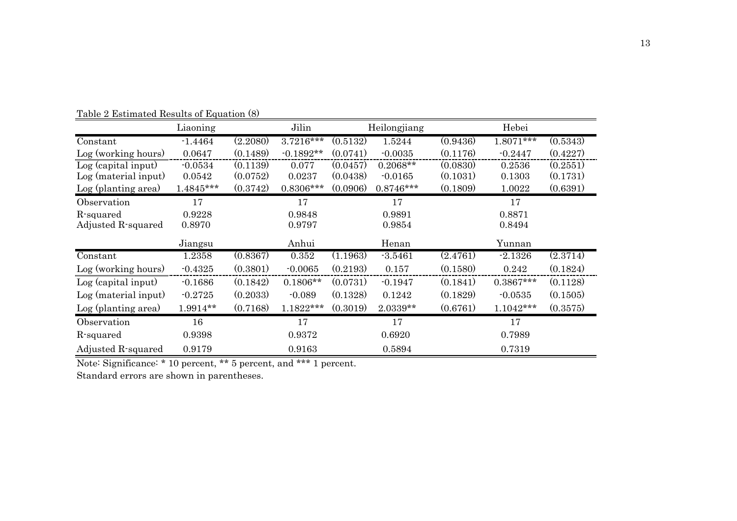|                      | Liaoning    |          | Jilin       |          | Heilongjiang |          | Hebei       |          |
|----------------------|-------------|----------|-------------|----------|--------------|----------|-------------|----------|
| Constant             | $-1.4464$   | (2.2080) | 3.7216***   | (0.5132) | 1.5244       | (0.9436) | $1.8071***$ | (0.5343) |
| Log (working hours)  | 0.0647      | (0.1489) | $-0.1892**$ | (0.0741) | $-0.0035$    | (0.1176) | $-0.2447$   | (0.4227) |
| Log (capital input)  | $-0.0534$   | (0.1139) | 0.077       | (0.0457) | $0.2068**$   | (0.0830) | 0.2536      | (0.2551) |
| Log (material input) | 0.0542      | (0.0752) | 0.0237      | (0.0438) | $-0.0165$    | (0.1031) | 0.1303      | (0.1731) |
| Log (planting area)  | $1.4845***$ | (0.3742) | $0.8306***$ | (0.0906) | $0.8746***$  | (0.1809) | 1.0022      | (0.6391) |
| Observation          | 17          |          | 17          |          | 17           |          | 17          |          |
| R-squared            | 0.9228      |          | 0.9848      |          | 0.9891       |          | 0.8871      |          |
| Adjusted R-squared   | 0.8970      |          | 0.9797      |          | 0.9854       | 0.8494   |             |          |
|                      | Jiangsu     |          | Anhui       |          | Henan        |          | Yunnan      |          |
| Constant             | 1.2358      | (0.8367) | 0.352       | (1.1963) | $-3.5461$    | (2.4761) | $-2.1326$   | (2.3714) |
| Log (working hours)  | $-0.4325$   | (0.3801) | $-0.0065$   | (0.2193) | 0.157        | (0.1580) | 0.242       | (0.1824) |
| Log (capital input)  | $-0.1686$   | (0.1842) | $0.1806**$  | (0.0731) | $-0.1947$    | (0.1841) | $0.3867***$ | (0.1128) |
| Log (material input) | $-0.2725$   | (0.2033) | $-0.089$    | (0.1328) | 0.1242       | (0.1829) | $-0.0535$   | (0.1505) |
| Log (planting area)  | 1.9914**    | (0.7168) | 1.1822***   | (0.3019) | 2.0339**     | (0.6761) | $1.1042***$ | (0.3575) |
| Observation          | 16          |          | 17          |          | 17           |          | 17          |          |
| R-squared            | 0.9398      |          | 0.9372      |          | 0.6920       |          | 0.7989      |          |
| Adjusted R-squared   | 0.9179      |          | 0.9163      |          | 0.5894       |          | 0.7319      |          |

Table 2 Estimated Results of Equation (8)

Note: Significance: \* 10 percent, \*\* 5 percent, and \*\*\* 1 percent.

Standard errors are shown in parentheses.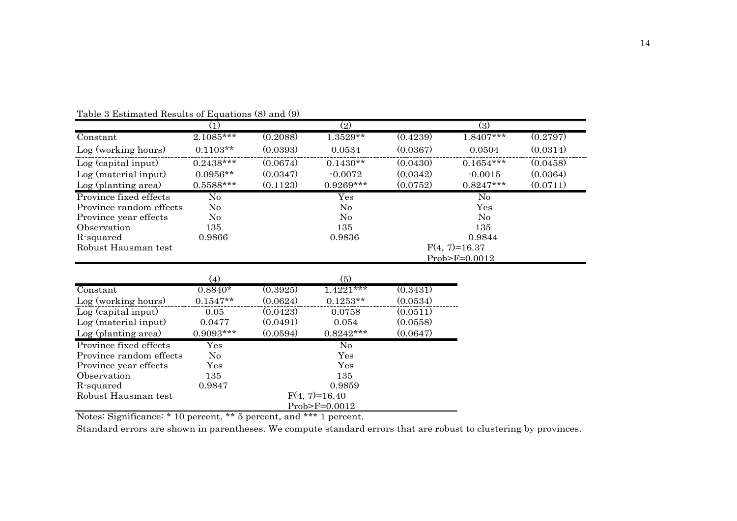|                         | (1)               |          | (2)                       |          | (3)                    |          |
|-------------------------|-------------------|----------|---------------------------|----------|------------------------|----------|
| Constant                | $2.1085***$       | (0.2088) | $1.3529**$                | (0.4239) | $1.8407***$            | (0.2797) |
| Log (working hours)     | $0.1103**$        | (0.0393) | 0.0534                    | (0.0367) | 0.0504                 | (0.0314) |
| Log (capital input)     | $0.2438***$       | (0.0674) | $0.1430**$                | (0.0430) | $0.1654***$            | (0.0458) |
| Log (material input)    | $0.0956**$        | (0.0347) | $-0.0072$                 | (0.0342) | $-0.0015$              | (0.0364) |
| Log (planting area)     | $0.5588***$       | (0.1123) | $0.9269***$               | (0.0752) | $0.8247***$            | (0.0711) |
| Province fixed effects  | No                |          | $\overline{\mathrm{Yes}}$ |          | $\overline{\text{No}}$ |          |
| Province random effects | $\rm No$          |          | No                        |          | Yes                    |          |
| Province year effects   | $\rm No$          |          | N <sub>0</sub>            |          | $\rm No$               |          |
| Observation             | 135               |          | 135                       |          | 135                    |          |
| R-squared               | 0.9866            |          | 0.9836                    |          | 0.9844                 |          |
| Robust Hausman test     |                   |          |                           |          | $F(4, 7)=16.37$        |          |
|                         |                   |          |                           |          | Prob>F=0.0012          |          |
|                         |                   |          |                           |          |                        |          |
|                         | (4)               |          | (5)                       |          |                        |          |
| Constant                | $0.8840*$         | (0.3925) | $1.4221***$               | (0.3431) |                        |          |
| Log (working hours)     | $0.1547**$        | (0.0624) | $0.1253**$                | (0.0534) |                        |          |
| Log (capital input)     | 0.05              | (0.0423) | 0.0758                    | (0.0511) |                        |          |
| Log (material input)    | 0.0477            | (0.0491) | 0.054                     | (0.0558) |                        |          |
| Log (planting area)     | $0.9093***$       | (0.0594) | $0.8242***$               | (0.0647) |                        |          |
| Province fixed effects  | $\gamma_{\rm es}$ |          | No                        |          |                        |          |
| Province random effects | No                |          | Yes                       |          |                        |          |
| Province year effects   | Yes               |          | Yes                       |          |                        |          |
| Observation             | 135               |          | 135                       |          |                        |          |
| R-squared               | 0.9847            |          | 0.9859                    |          |                        |          |
| Robust Hausman test     |                   |          | $F(4, 7)=16.40$           |          |                        |          |
|                         |                   |          | $Prob > F = 0.0012$       |          |                        |          |

Table 3 Estimated Results of Equations (8) and (9)

Notes: Significance: \* 10 percent, \*\* 5 percent, and \*\*\* 1 percent.

Standard errors are shown in parentheses. We compute standard errors that are robust to clustering by provinces.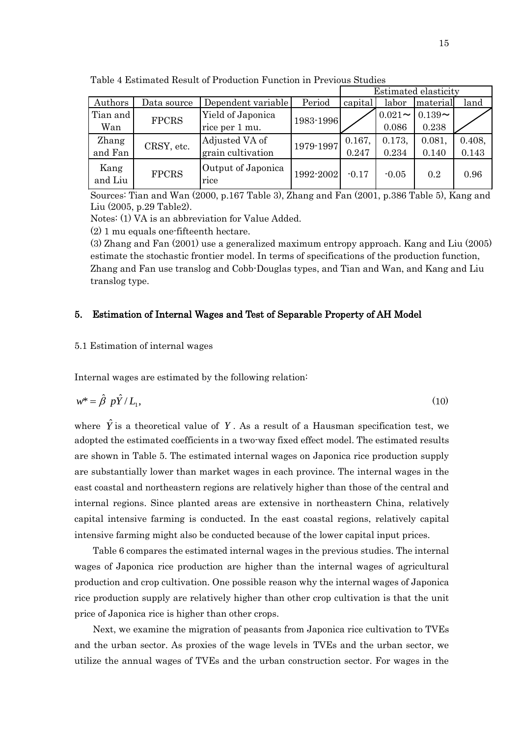|                 |              |                            |           | Estimated elasticity |           |           |        |
|-----------------|--------------|----------------------------|-----------|----------------------|-----------|-----------|--------|
| Authors         | Data source  | Dependent variable         | Period    | capital              | labor     | material  | land   |
| Tian and        | <b>FPCRS</b> | Yield of Japonica          | 1983-1996 |                      | $0.021 -$ | $0.139 -$ |        |
| Wan             |              | rice per 1 mu.             |           |                      | 0.086     | 0.238     |        |
| Zhang           | CRSY, etc.   | Adjusted VA of             | 1979-1997 | 0.167,               | 0.173,    | 0.081,    | 0.408, |
| and Fan         |              | grain cultivation          |           | 0.247                | 0.234     | 0.140     | 0.143  |
| Kang<br>and Liu | <b>FPCRS</b> | Output of Japonica<br>rice | 1992-2002 | $-0.17$              | $-0.05$   | 0.2       | 0.96   |

Table 4 Estimated Result of Production Function in Previous Studies

Sources: Tian and Wan (2000, p.167 Table 3), Zhang and Fan (2001, p.386 Table 5), Kang and Liu (2005, p.29 Table2).

Notes: (1) VA is an abbreviation for Value Added.

(2) 1 mu equals one-fifteenth hectare.

(3) Zhang and Fan (2001) use a generalized maximum entropy approach. Kang and Liu (2005) estimate the stochastic frontier model. In terms of specifications of the production function, Zhang and Fan use translog and Cobb-Douglas types, and Tian and Wan, and Kang and Liu translog type.

#### 5. Estimation of Internal Wages and Test of Separable Property of AH Model

#### 5.1 Estimation of internal wages

Internal wages are estimated by the following relation:

$$
w^* = \hat{\beta} \ p\hat{Y}/L_1,\tag{10}
$$

where  $\hat{Y}$  is a theoretical value of Y. As a result of a Hausman specification test, we adopted the estimated coefficients in a two-way fixed effect model. The estimated results are shown in Table 5. The estimated internal wages on Japonica rice production supply are substantially lower than market wages in each province. The internal wages in the east coastal and northeastern regions are relatively higher than those of the central and internal regions. Since planted areas are extensive in northeastern China, relatively capital intensive farming is conducted. In the east coastal regions, relatively capital intensive farming might also be conducted because of the lower capital input prices.

Table 6 compares the estimated internal wages in the previous studies. The internal wages of Japonica rice production are higher than the internal wages of agricultural production and crop cultivation. One possible reason why the internal wages of Japonica rice production supply are relatively higher than other crop cultivation is that the unit price of Japonica rice is higher than other crops.

Next, we examine the migration of peasants from Japonica rice cultivation to TVEs and the urban sector. As proxies of the wage levels in TVEs and the urban sector, we utilize the annual wages of TVEs and the urban construction sector. For wages in the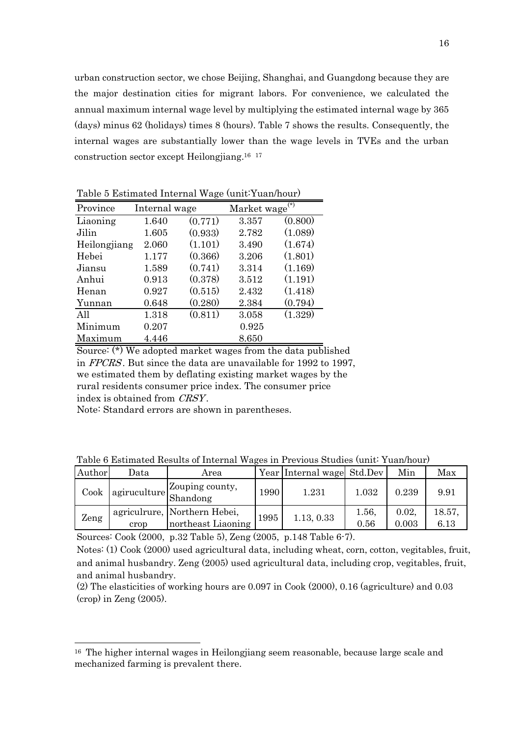urban construction sector, we chose Beijing, Shanghai, and Guangdong because they are the major destination cities for migrant labors. For convenience, we calculated the annual maximum internal wage level by multiplying the estimated internal wage by 365 (days) minus 62 (holidays) times 8 (hours). Table 7 shows the results. Consequently, the internal wages are substantially lower than the wage levels in TVEs and the urban construction sector except Heilongjiang.<sup>16</sup> <sup>17</sup>

| Province     | Internal wage |         | Market wage | $^{(*)}$ |
|--------------|---------------|---------|-------------|----------|
| Liaoning     | 1.640         | (0.771) | 3.357       | (0.800)  |
| Jilin        | 1.605         | (0.933) | 2.782       | (1.089)  |
| Heilongjiang | 2.060         | (1.101) | 3.490       | (1.674)  |
| Hebei        | 1.177         | (0.366) | 3.206       | (1.801)  |
| Jiansu       | 1.589         | (0.741) | 3.314       | (1.169)  |
| Anhui        | 0.913         | (0.378) | 3.512       | (1.191)  |
| Henan        | 0.927         | (0.515) | 2.432       | (1.418)  |
| Yunnan       | 0.648         | (0.280) | 2.384       | (0.794)  |
| A11          | 1.318         | (0.811) | 3.058       | (1.329)  |
| Minimum      | 0.207         |         | 0.925       |          |
| Maximum      | 4.446         |         | 8.650       |          |

Table 5 Estimated Internal Wage (unit:Yuan/hour)

Source: (\*) We adopted market wages from the data published in FPCRS . But since the data are unavailable for 1992 to 1997, we estimated them by deflating existing market wages by the rural residents consumer price index. The consumer price index is obtained from *CRSY*.

Note: Standard errors are shown in parentheses.

 $\overline{\phantom{a}}$ 

| Table 6 Estimated Results of Internal Wages in Previous Studies (unit: Yuan/hour) |  |
|-----------------------------------------------------------------------------------|--|
|-----------------------------------------------------------------------------------|--|

| Author       | Data | Area                                               |      | Year Internal wage Std.Dev |               | Min            | Max            |
|--------------|------|----------------------------------------------------|------|----------------------------|---------------|----------------|----------------|
| ${\rm Cook}$ |      | agiruculture Zouping county,                       | 1990 | 1.231                      | $1.032\,$     | 0.239          | 9.91           |
| Zeng         | crop | agriculrure, Northern Hebei,<br>northeast Liaoning | 1995 | 1.13, 0.33                 | 1.56,<br>0.56 | 0.02,<br>0.003 | 18.57.<br>6.13 |

Sources: Cook (2000, p.32 Table 5), Zeng (2005, p.148 Table 6-7).

Notes: (1) Cook (2000) used agricultural data, including wheat, corn, cotton, vegitables, fruit, and animal husbandry. Zeng (2005) used agricultural data, including crop, vegitables, fruit, and animal husbandry.

(2) The elasticities of working hours are 0.097 in Cook (2000), 0.16 (agriculture) and 0.03  $(crop)$  in Zeng  $(2005)$ .

<sup>16</sup> The higher internal wages in Heilongjiang seem reasonable, because large scale and mechanized farming is prevalent there.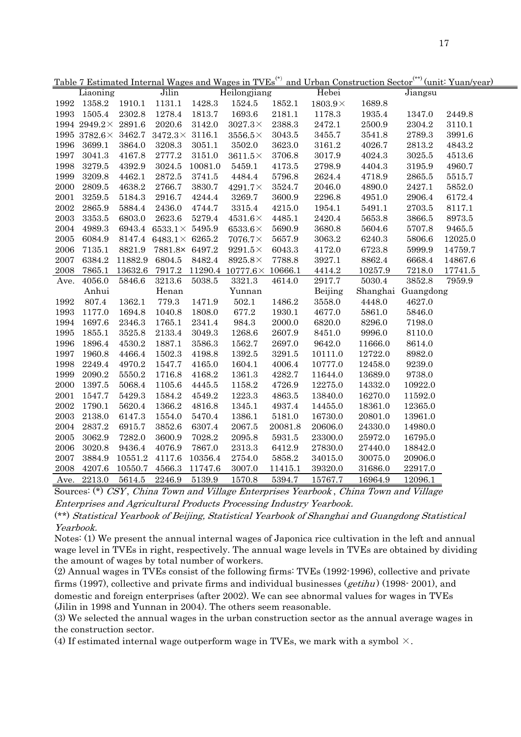| Jilin<br>Heilongjiang<br>Hebei<br>Liaoning<br>Jiangsu<br>1358.2<br>1992<br>1910.1<br>1131.1<br>1428.3<br>1524.5<br>1852.1<br>$1803.9\times$<br>1689.8<br>1993<br>1505.4<br>2302.8<br>1278.4<br>1813.7<br>1693.6<br>2181.1<br>1178.3<br>1935.4<br>1347.0<br>2449.8<br>1994 2949.2× 2891.6<br>2020.6<br>3142.0<br>2388.3<br>2472.1<br>$3027.3\times$<br>2500.9<br>2304.2<br>$3110.1\,$<br>1995 3782.6 $\times$ 3462.7<br>$3472.3 \times 3116.1$<br>$3556.5\times$<br>3043.5<br>3455.7<br>3541.8<br>2789.3<br>3991.6<br>3208.3<br>3623.0<br>4026.7<br>1996<br>3699.1<br>3864.0<br>3051.1<br>3502.0<br>3161.2<br>2813.2<br>4843.2<br>1997<br>2777.2<br>3151.0<br>3041.3<br>4167.8<br>$3611.5\times$<br>3706.8<br>3017.9<br>4024.3<br>3025.5<br>4513.6<br>2798.9<br>1998<br>3279.5<br>4392.9<br>3024.5<br>10081.0<br>5459.1<br>4173.5<br>4404.3<br>3195.9<br>4960.7<br>3741.5<br>2624.4<br>1999<br>3209.8<br>4462.1<br>2872.5<br>4484.4<br>5796.8<br>4718.9<br>2865.5<br>5515.7<br>2000<br>$\!4638.2\!$<br>2766.7<br>3830.7<br>2046.0<br>4890.0<br>2427.1<br>2809.5<br>$4291.7\times$<br>3524.7<br>5852.0<br>3259.5<br>4244.4<br>3269.7<br>2296.8<br>2906.4<br>2001<br>5184.3<br>2916.7<br>3600.9<br>4951.0<br>6172.4<br>2002<br>2865.9<br>4744.7<br>3315.4<br>2703.5<br>5884.4<br>2436.0<br>4215.0<br>1954.1<br>5491.1<br>8117.1<br>2003<br>3353.5<br>2623.6<br>5279.4<br>2420.4<br>6803.0<br>$4531.6\times$<br>4485.1<br>5653.8<br>3866.5<br>8973.5<br>2004<br>4989.3<br>6943.4<br>$6533.1\times 5495.9$<br>5690.9<br>3680.8<br>5604.6<br>5707.8<br>$9465.5\,$<br>$6533.6\times$<br>2005<br>6084.9<br>8147.4 6483.1 $\times$ 6265.2<br>5657.9<br>3063.2<br>6240.3<br>5806.6<br>$7076.7\times$<br>12025.0<br>2006<br>7135.1<br>8821.9<br>7881.8× 6497.2<br>4172.0<br>6723.8<br>6043.3<br>5999.9<br>14759.7<br>$9291.5\times$<br>6384.2<br>8482.4<br>3927.1<br>2007<br>11882.9<br>6804.5<br>$8925.8\times$<br>7788.8<br>8862.4<br>6668.4<br>14867.6<br>$\boldsymbol{2008}$<br>7865.1<br>13632.6<br>7917.2 11290.4 10777.6 $\times$ 10666.1<br>4414.2<br>10257.9<br>7218.0<br>17741.5<br>3213.6<br>$5038.5\,$<br>3321.3<br>2917.7<br>5030.4<br>3852.8<br>4056.0<br>5846.6<br>4614.0<br>7959.9<br>Ave.<br>Beijing<br>Anhui<br>Yunnan<br>Shanghai Guangdong<br>Henan<br>1992<br>807.4<br>1362.1<br>779.3<br>1471.9<br>502.1<br>3558.0<br>4627.0<br>1486.2<br>4448.0<br>1993<br>1177.0<br>677.2<br>4677.0<br>5861.0<br>1694.8<br>1040.8<br>1808.0<br>1930.1<br>5846.0<br>1994<br>1697.6<br>$2346.3\,$<br>984.3<br>6820.0<br>1765.1<br>2341.4<br>2000.0<br>8296.0<br>7198.0<br>1995<br>9996.0<br>1855.1<br>3525.8<br>2133.4<br>3049.3<br>1268.6<br>2607.9<br>8451.0<br>8110.0<br>1996<br>3586.3<br>1562.7<br>9642.0<br>1896.4<br>4530.2<br>1887.1<br>2697.0<br>11666.0<br>8614.0<br>1997<br>1392.5<br>3291.5<br>12722.0<br>8982.0<br>1960.8<br>4466.4<br>1502.3<br>4198.8<br>10111.0<br>1998<br>2249.4<br>1547.7<br>1604.1<br>10777.0<br>12458.0<br>9239.0<br>4970.2<br>4165.0<br>4006.4<br>1999<br>2090.2<br>5550.2<br>1716.8<br>4168.2<br>1361.3<br>4282.7<br>11644.0<br>13689.0<br>9738.0<br>2000<br>1397.5<br>5068.4<br>1105.6<br>4445.5<br>1158.2<br>4726.9<br>12275.0<br>14332.0<br>10922.0<br>2001<br>1547.7<br>5429.3<br>1584.2<br>4549.2<br>1223.3<br>4863.5<br>13840.0<br>16270.0<br>11592.0<br>2002<br>1790.1<br>5620.4<br>1366.2<br>4816.8<br>1345.1<br>4937.4<br>18361.0<br>12365.0<br>14455.0<br>$\,2003\,$<br>2138.0<br>6147.3<br>1554.0<br>5470.4<br>1386.1<br>5181.0<br>16730.0<br>20801.0<br>13961.0<br>2004<br>2837.2<br>6915.7<br>3852.6<br>6307.4<br>2067.5<br>20081.8<br>20606.0<br>24330.0<br>14980.0<br>$\,2005\,$<br>7028.2<br>3062.9<br>7282.0<br>3600.9<br>2095.8<br>5931.5<br>23300.0<br>25972.0<br>16795.0<br>2006<br>3020.8<br>9436.4<br>4076.9<br>7867.0<br>2313.3<br>27830.0<br>6412.9<br>27440.0<br>18842.0<br>2007<br>3884.9<br>10551.2<br>4117.6<br>10356.4<br>2754.0<br>5858.2<br>34015.0<br>30075.0<br>20906.0<br>2008<br>4207.6<br>10550.7<br>4566.3<br>11747.6<br>3007.0<br>39320.0<br>31686.0<br>22917.0<br>11415.1<br>2213.0<br>5614.5<br>2246.9<br>5139.9<br>1570.8<br>5394.7<br>15767.7<br>16964.9<br>12096.1<br>Ave. |  |  | <u>Table 7 Estimated Internal Wages and Wages in TVEs</u> |  |  | and Urban Construction Sector (unit Yuan/year) |
|--------------------------------------------------------------------------------------------------------------------------------------------------------------------------------------------------------------------------------------------------------------------------------------------------------------------------------------------------------------------------------------------------------------------------------------------------------------------------------------------------------------------------------------------------------------------------------------------------------------------------------------------------------------------------------------------------------------------------------------------------------------------------------------------------------------------------------------------------------------------------------------------------------------------------------------------------------------------------------------------------------------------------------------------------------------------------------------------------------------------------------------------------------------------------------------------------------------------------------------------------------------------------------------------------------------------------------------------------------------------------------------------------------------------------------------------------------------------------------------------------------------------------------------------------------------------------------------------------------------------------------------------------------------------------------------------------------------------------------------------------------------------------------------------------------------------------------------------------------------------------------------------------------------------------------------------------------------------------------------------------------------------------------------------------------------------------------------------------------------------------------------------------------------------------------------------------------------------------------------------------------------------------------------------------------------------------------------------------------------------------------------------------------------------------------------------------------------------------------------------------------------------------------------------------------------------------------------------------------------------------------------------------------------------------------------------------------------------------------------------------------------------------------------------------------------------------------------------------------------------------------------------------------------------------------------------------------------------------------------------------------------------------------------------------------------------------------------------------------------------------------------------------------------------------------------------------------------------------------------------------------------------------------------------------------------------------------------------------------------------------------------------------------------------------------------------------------------------------------------------------------------------------------------------------------------------------------------------------------------------------------------------------------------------------------------------------------------------------------------------------------------------------------------------------------------------------------------------------------------------------------------------------------------------------------------------------------------------------------------------------------------------------------------------------------------------------------------------------------------------------------------------------------|--|--|-----------------------------------------------------------|--|--|------------------------------------------------|
|                                                                                                                                                                                                                                                                                                                                                                                                                                                                                                                                                                                                                                                                                                                                                                                                                                                                                                                                                                                                                                                                                                                                                                                                                                                                                                                                                                                                                                                                                                                                                                                                                                                                                                                                                                                                                                                                                                                                                                                                                                                                                                                                                                                                                                                                                                                                                                                                                                                                                                                                                                                                                                                                                                                                                                                                                                                                                                                                                                                                                                                                                                                                                                                                                                                                                                                                                                                                                                                                                                                                                                                                                                                                                                                                                                                                                                                                                                                                                                                                                                                                                                                                                        |  |  |                                                           |  |  |                                                |
|                                                                                                                                                                                                                                                                                                                                                                                                                                                                                                                                                                                                                                                                                                                                                                                                                                                                                                                                                                                                                                                                                                                                                                                                                                                                                                                                                                                                                                                                                                                                                                                                                                                                                                                                                                                                                                                                                                                                                                                                                                                                                                                                                                                                                                                                                                                                                                                                                                                                                                                                                                                                                                                                                                                                                                                                                                                                                                                                                                                                                                                                                                                                                                                                                                                                                                                                                                                                                                                                                                                                                                                                                                                                                                                                                                                                                                                                                                                                                                                                                                                                                                                                                        |  |  |                                                           |  |  |                                                |
|                                                                                                                                                                                                                                                                                                                                                                                                                                                                                                                                                                                                                                                                                                                                                                                                                                                                                                                                                                                                                                                                                                                                                                                                                                                                                                                                                                                                                                                                                                                                                                                                                                                                                                                                                                                                                                                                                                                                                                                                                                                                                                                                                                                                                                                                                                                                                                                                                                                                                                                                                                                                                                                                                                                                                                                                                                                                                                                                                                                                                                                                                                                                                                                                                                                                                                                                                                                                                                                                                                                                                                                                                                                                                                                                                                                                                                                                                                                                                                                                                                                                                                                                                        |  |  |                                                           |  |  |                                                |
|                                                                                                                                                                                                                                                                                                                                                                                                                                                                                                                                                                                                                                                                                                                                                                                                                                                                                                                                                                                                                                                                                                                                                                                                                                                                                                                                                                                                                                                                                                                                                                                                                                                                                                                                                                                                                                                                                                                                                                                                                                                                                                                                                                                                                                                                                                                                                                                                                                                                                                                                                                                                                                                                                                                                                                                                                                                                                                                                                                                                                                                                                                                                                                                                                                                                                                                                                                                                                                                                                                                                                                                                                                                                                                                                                                                                                                                                                                                                                                                                                                                                                                                                                        |  |  |                                                           |  |  |                                                |
|                                                                                                                                                                                                                                                                                                                                                                                                                                                                                                                                                                                                                                                                                                                                                                                                                                                                                                                                                                                                                                                                                                                                                                                                                                                                                                                                                                                                                                                                                                                                                                                                                                                                                                                                                                                                                                                                                                                                                                                                                                                                                                                                                                                                                                                                                                                                                                                                                                                                                                                                                                                                                                                                                                                                                                                                                                                                                                                                                                                                                                                                                                                                                                                                                                                                                                                                                                                                                                                                                                                                                                                                                                                                                                                                                                                                                                                                                                                                                                                                                                                                                                                                                        |  |  |                                                           |  |  |                                                |
|                                                                                                                                                                                                                                                                                                                                                                                                                                                                                                                                                                                                                                                                                                                                                                                                                                                                                                                                                                                                                                                                                                                                                                                                                                                                                                                                                                                                                                                                                                                                                                                                                                                                                                                                                                                                                                                                                                                                                                                                                                                                                                                                                                                                                                                                                                                                                                                                                                                                                                                                                                                                                                                                                                                                                                                                                                                                                                                                                                                                                                                                                                                                                                                                                                                                                                                                                                                                                                                                                                                                                                                                                                                                                                                                                                                                                                                                                                                                                                                                                                                                                                                                                        |  |  |                                                           |  |  |                                                |
|                                                                                                                                                                                                                                                                                                                                                                                                                                                                                                                                                                                                                                                                                                                                                                                                                                                                                                                                                                                                                                                                                                                                                                                                                                                                                                                                                                                                                                                                                                                                                                                                                                                                                                                                                                                                                                                                                                                                                                                                                                                                                                                                                                                                                                                                                                                                                                                                                                                                                                                                                                                                                                                                                                                                                                                                                                                                                                                                                                                                                                                                                                                                                                                                                                                                                                                                                                                                                                                                                                                                                                                                                                                                                                                                                                                                                                                                                                                                                                                                                                                                                                                                                        |  |  |                                                           |  |  |                                                |
|                                                                                                                                                                                                                                                                                                                                                                                                                                                                                                                                                                                                                                                                                                                                                                                                                                                                                                                                                                                                                                                                                                                                                                                                                                                                                                                                                                                                                                                                                                                                                                                                                                                                                                                                                                                                                                                                                                                                                                                                                                                                                                                                                                                                                                                                                                                                                                                                                                                                                                                                                                                                                                                                                                                                                                                                                                                                                                                                                                                                                                                                                                                                                                                                                                                                                                                                                                                                                                                                                                                                                                                                                                                                                                                                                                                                                                                                                                                                                                                                                                                                                                                                                        |  |  |                                                           |  |  |                                                |
|                                                                                                                                                                                                                                                                                                                                                                                                                                                                                                                                                                                                                                                                                                                                                                                                                                                                                                                                                                                                                                                                                                                                                                                                                                                                                                                                                                                                                                                                                                                                                                                                                                                                                                                                                                                                                                                                                                                                                                                                                                                                                                                                                                                                                                                                                                                                                                                                                                                                                                                                                                                                                                                                                                                                                                                                                                                                                                                                                                                                                                                                                                                                                                                                                                                                                                                                                                                                                                                                                                                                                                                                                                                                                                                                                                                                                                                                                                                                                                                                                                                                                                                                                        |  |  |                                                           |  |  |                                                |
|                                                                                                                                                                                                                                                                                                                                                                                                                                                                                                                                                                                                                                                                                                                                                                                                                                                                                                                                                                                                                                                                                                                                                                                                                                                                                                                                                                                                                                                                                                                                                                                                                                                                                                                                                                                                                                                                                                                                                                                                                                                                                                                                                                                                                                                                                                                                                                                                                                                                                                                                                                                                                                                                                                                                                                                                                                                                                                                                                                                                                                                                                                                                                                                                                                                                                                                                                                                                                                                                                                                                                                                                                                                                                                                                                                                                                                                                                                                                                                                                                                                                                                                                                        |  |  |                                                           |  |  |                                                |
|                                                                                                                                                                                                                                                                                                                                                                                                                                                                                                                                                                                                                                                                                                                                                                                                                                                                                                                                                                                                                                                                                                                                                                                                                                                                                                                                                                                                                                                                                                                                                                                                                                                                                                                                                                                                                                                                                                                                                                                                                                                                                                                                                                                                                                                                                                                                                                                                                                                                                                                                                                                                                                                                                                                                                                                                                                                                                                                                                                                                                                                                                                                                                                                                                                                                                                                                                                                                                                                                                                                                                                                                                                                                                                                                                                                                                                                                                                                                                                                                                                                                                                                                                        |  |  |                                                           |  |  |                                                |
|                                                                                                                                                                                                                                                                                                                                                                                                                                                                                                                                                                                                                                                                                                                                                                                                                                                                                                                                                                                                                                                                                                                                                                                                                                                                                                                                                                                                                                                                                                                                                                                                                                                                                                                                                                                                                                                                                                                                                                                                                                                                                                                                                                                                                                                                                                                                                                                                                                                                                                                                                                                                                                                                                                                                                                                                                                                                                                                                                                                                                                                                                                                                                                                                                                                                                                                                                                                                                                                                                                                                                                                                                                                                                                                                                                                                                                                                                                                                                                                                                                                                                                                                                        |  |  |                                                           |  |  |                                                |
|                                                                                                                                                                                                                                                                                                                                                                                                                                                                                                                                                                                                                                                                                                                                                                                                                                                                                                                                                                                                                                                                                                                                                                                                                                                                                                                                                                                                                                                                                                                                                                                                                                                                                                                                                                                                                                                                                                                                                                                                                                                                                                                                                                                                                                                                                                                                                                                                                                                                                                                                                                                                                                                                                                                                                                                                                                                                                                                                                                                                                                                                                                                                                                                                                                                                                                                                                                                                                                                                                                                                                                                                                                                                                                                                                                                                                                                                                                                                                                                                                                                                                                                                                        |  |  |                                                           |  |  |                                                |
|                                                                                                                                                                                                                                                                                                                                                                                                                                                                                                                                                                                                                                                                                                                                                                                                                                                                                                                                                                                                                                                                                                                                                                                                                                                                                                                                                                                                                                                                                                                                                                                                                                                                                                                                                                                                                                                                                                                                                                                                                                                                                                                                                                                                                                                                                                                                                                                                                                                                                                                                                                                                                                                                                                                                                                                                                                                                                                                                                                                                                                                                                                                                                                                                                                                                                                                                                                                                                                                                                                                                                                                                                                                                                                                                                                                                                                                                                                                                                                                                                                                                                                                                                        |  |  |                                                           |  |  |                                                |
|                                                                                                                                                                                                                                                                                                                                                                                                                                                                                                                                                                                                                                                                                                                                                                                                                                                                                                                                                                                                                                                                                                                                                                                                                                                                                                                                                                                                                                                                                                                                                                                                                                                                                                                                                                                                                                                                                                                                                                                                                                                                                                                                                                                                                                                                                                                                                                                                                                                                                                                                                                                                                                                                                                                                                                                                                                                                                                                                                                                                                                                                                                                                                                                                                                                                                                                                                                                                                                                                                                                                                                                                                                                                                                                                                                                                                                                                                                                                                                                                                                                                                                                                                        |  |  |                                                           |  |  |                                                |
|                                                                                                                                                                                                                                                                                                                                                                                                                                                                                                                                                                                                                                                                                                                                                                                                                                                                                                                                                                                                                                                                                                                                                                                                                                                                                                                                                                                                                                                                                                                                                                                                                                                                                                                                                                                                                                                                                                                                                                                                                                                                                                                                                                                                                                                                                                                                                                                                                                                                                                                                                                                                                                                                                                                                                                                                                                                                                                                                                                                                                                                                                                                                                                                                                                                                                                                                                                                                                                                                                                                                                                                                                                                                                                                                                                                                                                                                                                                                                                                                                                                                                                                                                        |  |  |                                                           |  |  |                                                |
|                                                                                                                                                                                                                                                                                                                                                                                                                                                                                                                                                                                                                                                                                                                                                                                                                                                                                                                                                                                                                                                                                                                                                                                                                                                                                                                                                                                                                                                                                                                                                                                                                                                                                                                                                                                                                                                                                                                                                                                                                                                                                                                                                                                                                                                                                                                                                                                                                                                                                                                                                                                                                                                                                                                                                                                                                                                                                                                                                                                                                                                                                                                                                                                                                                                                                                                                                                                                                                                                                                                                                                                                                                                                                                                                                                                                                                                                                                                                                                                                                                                                                                                                                        |  |  |                                                           |  |  |                                                |
|                                                                                                                                                                                                                                                                                                                                                                                                                                                                                                                                                                                                                                                                                                                                                                                                                                                                                                                                                                                                                                                                                                                                                                                                                                                                                                                                                                                                                                                                                                                                                                                                                                                                                                                                                                                                                                                                                                                                                                                                                                                                                                                                                                                                                                                                                                                                                                                                                                                                                                                                                                                                                                                                                                                                                                                                                                                                                                                                                                                                                                                                                                                                                                                                                                                                                                                                                                                                                                                                                                                                                                                                                                                                                                                                                                                                                                                                                                                                                                                                                                                                                                                                                        |  |  |                                                           |  |  |                                                |
|                                                                                                                                                                                                                                                                                                                                                                                                                                                                                                                                                                                                                                                                                                                                                                                                                                                                                                                                                                                                                                                                                                                                                                                                                                                                                                                                                                                                                                                                                                                                                                                                                                                                                                                                                                                                                                                                                                                                                                                                                                                                                                                                                                                                                                                                                                                                                                                                                                                                                                                                                                                                                                                                                                                                                                                                                                                                                                                                                                                                                                                                                                                                                                                                                                                                                                                                                                                                                                                                                                                                                                                                                                                                                                                                                                                                                                                                                                                                                                                                                                                                                                                                                        |  |  |                                                           |  |  |                                                |
|                                                                                                                                                                                                                                                                                                                                                                                                                                                                                                                                                                                                                                                                                                                                                                                                                                                                                                                                                                                                                                                                                                                                                                                                                                                                                                                                                                                                                                                                                                                                                                                                                                                                                                                                                                                                                                                                                                                                                                                                                                                                                                                                                                                                                                                                                                                                                                                                                                                                                                                                                                                                                                                                                                                                                                                                                                                                                                                                                                                                                                                                                                                                                                                                                                                                                                                                                                                                                                                                                                                                                                                                                                                                                                                                                                                                                                                                                                                                                                                                                                                                                                                                                        |  |  |                                                           |  |  |                                                |
|                                                                                                                                                                                                                                                                                                                                                                                                                                                                                                                                                                                                                                                                                                                                                                                                                                                                                                                                                                                                                                                                                                                                                                                                                                                                                                                                                                                                                                                                                                                                                                                                                                                                                                                                                                                                                                                                                                                                                                                                                                                                                                                                                                                                                                                                                                                                                                                                                                                                                                                                                                                                                                                                                                                                                                                                                                                                                                                                                                                                                                                                                                                                                                                                                                                                                                                                                                                                                                                                                                                                                                                                                                                                                                                                                                                                                                                                                                                                                                                                                                                                                                                                                        |  |  |                                                           |  |  |                                                |
|                                                                                                                                                                                                                                                                                                                                                                                                                                                                                                                                                                                                                                                                                                                                                                                                                                                                                                                                                                                                                                                                                                                                                                                                                                                                                                                                                                                                                                                                                                                                                                                                                                                                                                                                                                                                                                                                                                                                                                                                                                                                                                                                                                                                                                                                                                                                                                                                                                                                                                                                                                                                                                                                                                                                                                                                                                                                                                                                                                                                                                                                                                                                                                                                                                                                                                                                                                                                                                                                                                                                                                                                                                                                                                                                                                                                                                                                                                                                                                                                                                                                                                                                                        |  |  |                                                           |  |  |                                                |
|                                                                                                                                                                                                                                                                                                                                                                                                                                                                                                                                                                                                                                                                                                                                                                                                                                                                                                                                                                                                                                                                                                                                                                                                                                                                                                                                                                                                                                                                                                                                                                                                                                                                                                                                                                                                                                                                                                                                                                                                                                                                                                                                                                                                                                                                                                                                                                                                                                                                                                                                                                                                                                                                                                                                                                                                                                                                                                                                                                                                                                                                                                                                                                                                                                                                                                                                                                                                                                                                                                                                                                                                                                                                                                                                                                                                                                                                                                                                                                                                                                                                                                                                                        |  |  |                                                           |  |  |                                                |
|                                                                                                                                                                                                                                                                                                                                                                                                                                                                                                                                                                                                                                                                                                                                                                                                                                                                                                                                                                                                                                                                                                                                                                                                                                                                                                                                                                                                                                                                                                                                                                                                                                                                                                                                                                                                                                                                                                                                                                                                                                                                                                                                                                                                                                                                                                                                                                                                                                                                                                                                                                                                                                                                                                                                                                                                                                                                                                                                                                                                                                                                                                                                                                                                                                                                                                                                                                                                                                                                                                                                                                                                                                                                                                                                                                                                                                                                                                                                                                                                                                                                                                                                                        |  |  |                                                           |  |  |                                                |
|                                                                                                                                                                                                                                                                                                                                                                                                                                                                                                                                                                                                                                                                                                                                                                                                                                                                                                                                                                                                                                                                                                                                                                                                                                                                                                                                                                                                                                                                                                                                                                                                                                                                                                                                                                                                                                                                                                                                                                                                                                                                                                                                                                                                                                                                                                                                                                                                                                                                                                                                                                                                                                                                                                                                                                                                                                                                                                                                                                                                                                                                                                                                                                                                                                                                                                                                                                                                                                                                                                                                                                                                                                                                                                                                                                                                                                                                                                                                                                                                                                                                                                                                                        |  |  |                                                           |  |  |                                                |
|                                                                                                                                                                                                                                                                                                                                                                                                                                                                                                                                                                                                                                                                                                                                                                                                                                                                                                                                                                                                                                                                                                                                                                                                                                                                                                                                                                                                                                                                                                                                                                                                                                                                                                                                                                                                                                                                                                                                                                                                                                                                                                                                                                                                                                                                                                                                                                                                                                                                                                                                                                                                                                                                                                                                                                                                                                                                                                                                                                                                                                                                                                                                                                                                                                                                                                                                                                                                                                                                                                                                                                                                                                                                                                                                                                                                                                                                                                                                                                                                                                                                                                                                                        |  |  |                                                           |  |  |                                                |
|                                                                                                                                                                                                                                                                                                                                                                                                                                                                                                                                                                                                                                                                                                                                                                                                                                                                                                                                                                                                                                                                                                                                                                                                                                                                                                                                                                                                                                                                                                                                                                                                                                                                                                                                                                                                                                                                                                                                                                                                                                                                                                                                                                                                                                                                                                                                                                                                                                                                                                                                                                                                                                                                                                                                                                                                                                                                                                                                                                                                                                                                                                                                                                                                                                                                                                                                                                                                                                                                                                                                                                                                                                                                                                                                                                                                                                                                                                                                                                                                                                                                                                                                                        |  |  |                                                           |  |  |                                                |
|                                                                                                                                                                                                                                                                                                                                                                                                                                                                                                                                                                                                                                                                                                                                                                                                                                                                                                                                                                                                                                                                                                                                                                                                                                                                                                                                                                                                                                                                                                                                                                                                                                                                                                                                                                                                                                                                                                                                                                                                                                                                                                                                                                                                                                                                                                                                                                                                                                                                                                                                                                                                                                                                                                                                                                                                                                                                                                                                                                                                                                                                                                                                                                                                                                                                                                                                                                                                                                                                                                                                                                                                                                                                                                                                                                                                                                                                                                                                                                                                                                                                                                                                                        |  |  |                                                           |  |  |                                                |
|                                                                                                                                                                                                                                                                                                                                                                                                                                                                                                                                                                                                                                                                                                                                                                                                                                                                                                                                                                                                                                                                                                                                                                                                                                                                                                                                                                                                                                                                                                                                                                                                                                                                                                                                                                                                                                                                                                                                                                                                                                                                                                                                                                                                                                                                                                                                                                                                                                                                                                                                                                                                                                                                                                                                                                                                                                                                                                                                                                                                                                                                                                                                                                                                                                                                                                                                                                                                                                                                                                                                                                                                                                                                                                                                                                                                                                                                                                                                                                                                                                                                                                                                                        |  |  |                                                           |  |  |                                                |
|                                                                                                                                                                                                                                                                                                                                                                                                                                                                                                                                                                                                                                                                                                                                                                                                                                                                                                                                                                                                                                                                                                                                                                                                                                                                                                                                                                                                                                                                                                                                                                                                                                                                                                                                                                                                                                                                                                                                                                                                                                                                                                                                                                                                                                                                                                                                                                                                                                                                                                                                                                                                                                                                                                                                                                                                                                                                                                                                                                                                                                                                                                                                                                                                                                                                                                                                                                                                                                                                                                                                                                                                                                                                                                                                                                                                                                                                                                                                                                                                                                                                                                                                                        |  |  |                                                           |  |  |                                                |
|                                                                                                                                                                                                                                                                                                                                                                                                                                                                                                                                                                                                                                                                                                                                                                                                                                                                                                                                                                                                                                                                                                                                                                                                                                                                                                                                                                                                                                                                                                                                                                                                                                                                                                                                                                                                                                                                                                                                                                                                                                                                                                                                                                                                                                                                                                                                                                                                                                                                                                                                                                                                                                                                                                                                                                                                                                                                                                                                                                                                                                                                                                                                                                                                                                                                                                                                                                                                                                                                                                                                                                                                                                                                                                                                                                                                                                                                                                                                                                                                                                                                                                                                                        |  |  |                                                           |  |  |                                                |
|                                                                                                                                                                                                                                                                                                                                                                                                                                                                                                                                                                                                                                                                                                                                                                                                                                                                                                                                                                                                                                                                                                                                                                                                                                                                                                                                                                                                                                                                                                                                                                                                                                                                                                                                                                                                                                                                                                                                                                                                                                                                                                                                                                                                                                                                                                                                                                                                                                                                                                                                                                                                                                                                                                                                                                                                                                                                                                                                                                                                                                                                                                                                                                                                                                                                                                                                                                                                                                                                                                                                                                                                                                                                                                                                                                                                                                                                                                                                                                                                                                                                                                                                                        |  |  |                                                           |  |  |                                                |
|                                                                                                                                                                                                                                                                                                                                                                                                                                                                                                                                                                                                                                                                                                                                                                                                                                                                                                                                                                                                                                                                                                                                                                                                                                                                                                                                                                                                                                                                                                                                                                                                                                                                                                                                                                                                                                                                                                                                                                                                                                                                                                                                                                                                                                                                                                                                                                                                                                                                                                                                                                                                                                                                                                                                                                                                                                                                                                                                                                                                                                                                                                                                                                                                                                                                                                                                                                                                                                                                                                                                                                                                                                                                                                                                                                                                                                                                                                                                                                                                                                                                                                                                                        |  |  |                                                           |  |  |                                                |
|                                                                                                                                                                                                                                                                                                                                                                                                                                                                                                                                                                                                                                                                                                                                                                                                                                                                                                                                                                                                                                                                                                                                                                                                                                                                                                                                                                                                                                                                                                                                                                                                                                                                                                                                                                                                                                                                                                                                                                                                                                                                                                                                                                                                                                                                                                                                                                                                                                                                                                                                                                                                                                                                                                                                                                                                                                                                                                                                                                                                                                                                                                                                                                                                                                                                                                                                                                                                                                                                                                                                                                                                                                                                                                                                                                                                                                                                                                                                                                                                                                                                                                                                                        |  |  |                                                           |  |  |                                                |
|                                                                                                                                                                                                                                                                                                                                                                                                                                                                                                                                                                                                                                                                                                                                                                                                                                                                                                                                                                                                                                                                                                                                                                                                                                                                                                                                                                                                                                                                                                                                                                                                                                                                                                                                                                                                                                                                                                                                                                                                                                                                                                                                                                                                                                                                                                                                                                                                                                                                                                                                                                                                                                                                                                                                                                                                                                                                                                                                                                                                                                                                                                                                                                                                                                                                                                                                                                                                                                                                                                                                                                                                                                                                                                                                                                                                                                                                                                                                                                                                                                                                                                                                                        |  |  |                                                           |  |  |                                                |
|                                                                                                                                                                                                                                                                                                                                                                                                                                                                                                                                                                                                                                                                                                                                                                                                                                                                                                                                                                                                                                                                                                                                                                                                                                                                                                                                                                                                                                                                                                                                                                                                                                                                                                                                                                                                                                                                                                                                                                                                                                                                                                                                                                                                                                                                                                                                                                                                                                                                                                                                                                                                                                                                                                                                                                                                                                                                                                                                                                                                                                                                                                                                                                                                                                                                                                                                                                                                                                                                                                                                                                                                                                                                                                                                                                                                                                                                                                                                                                                                                                                                                                                                                        |  |  |                                                           |  |  |                                                |
|                                                                                                                                                                                                                                                                                                                                                                                                                                                                                                                                                                                                                                                                                                                                                                                                                                                                                                                                                                                                                                                                                                                                                                                                                                                                                                                                                                                                                                                                                                                                                                                                                                                                                                                                                                                                                                                                                                                                                                                                                                                                                                                                                                                                                                                                                                                                                                                                                                                                                                                                                                                                                                                                                                                                                                                                                                                                                                                                                                                                                                                                                                                                                                                                                                                                                                                                                                                                                                                                                                                                                                                                                                                                                                                                                                                                                                                                                                                                                                                                                                                                                                                                                        |  |  |                                                           |  |  |                                                |
|                                                                                                                                                                                                                                                                                                                                                                                                                                                                                                                                                                                                                                                                                                                                                                                                                                                                                                                                                                                                                                                                                                                                                                                                                                                                                                                                                                                                                                                                                                                                                                                                                                                                                                                                                                                                                                                                                                                                                                                                                                                                                                                                                                                                                                                                                                                                                                                                                                                                                                                                                                                                                                                                                                                                                                                                                                                                                                                                                                                                                                                                                                                                                                                                                                                                                                                                                                                                                                                                                                                                                                                                                                                                                                                                                                                                                                                                                                                                                                                                                                                                                                                                                        |  |  |                                                           |  |  |                                                |

Table 7 Estimated Internal Wages and Wages in TVEs<sup>(\*)</sup> and Urban Construction Sector<sup>(\*\*)</sup> (unit: Yuan/year)

Sources: (\*) CSY, China Town and Village Enterprises Yearbook, China Town and Village Enterprises and Agricultural Products Processing Industry Yearbook.

(\*\*) Statistical Yearbook of Beijing, Statistical Yearbook of Shanghai and Guangdong Statistical Yearbook.

Notes: (1) We present the annual internal wages of Japonica rice cultivation in the left and annual wage level in TVEs in right, respectively. The annual wage levels in TVEs are obtained by dividing the amount of wages by total number of workers.

(2) Annual wages in TVEs consist of the following firms: TVEs (1992-1996), collective and private firms (1997), collective and private firms and individual businesses (*getihu*) (1998-2001), and domestic and foreign enterprises (after 2002). We can see abnormal values for wages in TVEs (Jilin in 1998 and Yunnan in 2004). The others seem reasonable.

(3) We selected the annual wages in the urban construction sector as the annual average wages in the construction sector.

(4) If estimated internal wage outperform wage in TVEs, we mark with a symbol  $\times$ .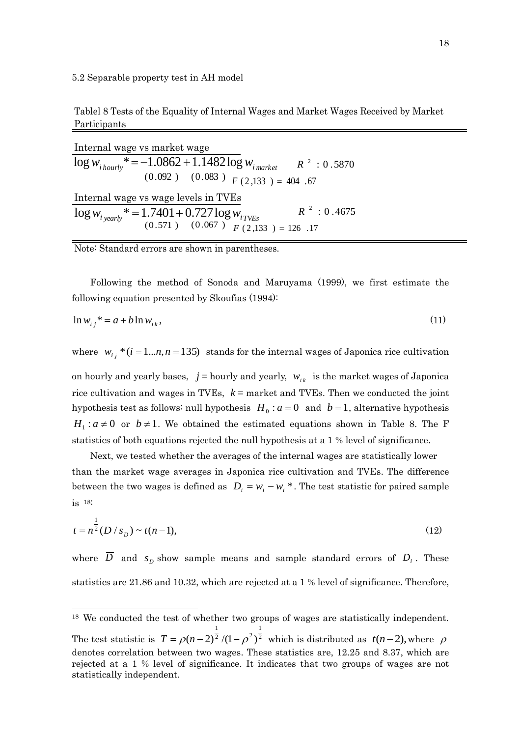Tablel 8 Tests of the Equality of Internal Wages and Market Wages Received by Market Participants

| Internal wage vs market wage                                                                                                      |
|-----------------------------------------------------------------------------------------------------------------------------------|
| $\log w_{i\,houvly}$ * = -1.0862 + 1.1482 $\log w_{i\,market}$ $R^2$ : 0.5870                                                     |
| $(0.092)$ $(0.083)$ $F(2,133) = 404.67$                                                                                           |
| Internal wage vs wage levels in TVEs                                                                                              |
| $R^2$ : 0.4675<br>$\log w_{i \text{,} }$ * = 1.7401 + 0.727 $\log w_{i \text{,}}$ $R^2$ :<br>(0.571) (0.067) $F(2,133) = 126$ .17 |
|                                                                                                                                   |

Note: Standard errors are shown in parentheses.

 $\overline{a}$ 

 Following the method of Sonoda and Maruyama (1999), we first estimate the following equation presented by Skoufias (1994):

$$
\ln w_{ij}^* = a + b \ln w_{ik},\tag{11}
$$

where  $w_{i,j} * (i = 1...n, n = 135)$  stands for the internal wages of Japonica rice cultivation on hourly and yearly bases,  $j =$  hourly and yearly,  $w_{i_k}$  is the market wages of Japonica rice cultivation and wages in TVEs, *k* = market and TVEs. Then we conducted the joint hypothesis test as follows: null hypothesis  $H_0: a = 0$  and  $b = 1$ , alternative hypothesis  $H_1: a \neq 0$  or  $b \neq 1$ . We obtained the estimated equations shown in Table 8. The F statistics of both equations rejected the null hypothesis at a 1 % level of significance.

 Next, we tested whether the averages of the internal wages are statistically lower than the market wage averages in Japonica rice cultivation and TVEs. The difference between the two wages is defined as  $D_i = w_i - w_i^*$ . The test statistic for paired sample is 18:

$$
t = n^{\frac{1}{2}}(\overline{D}/s_D) \sim t(n-1),
$$
\n(12)

where  $D$  and  $s<sub>D</sub>$  show sample means and sample standard errors of  $D<sub>i</sub>$ . These statistics are 21.86 and 10.32, which are rejected at a 1 % level of significance. Therefore,

<sup>18</sup> We conducted the test of whether two groups of wages are statistically independent. The test statistic is  $T = \rho(n-2)^2/(1-\rho^2)^2$ 1  $\sqrt{2}/(1-\alpha^2)$ 1  $T = \rho(n-2)^2 / (1-\rho^2)^2$  which is distributed as  $t(n-2)$ , where  $\rho$ denotes correlation between two wages. These statistics are, 12.25 and 8.37, which are rejected at a 1 % level of significance. It indicates that two groups of wages are not statistically independent.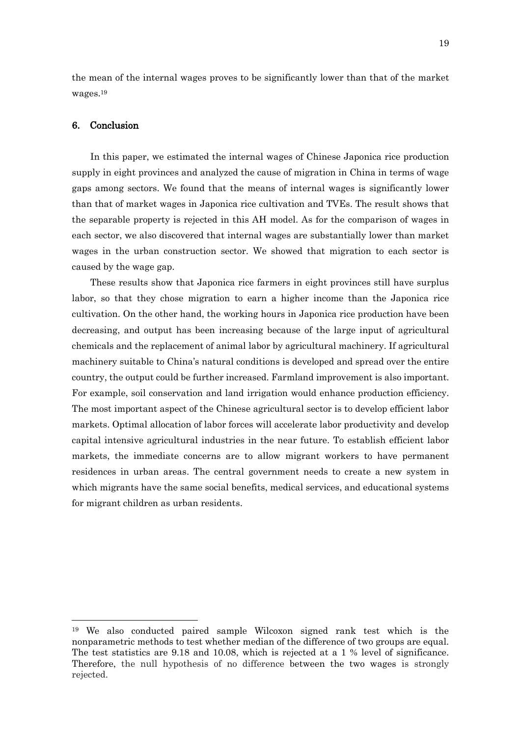the mean of the internal wages proves to be significantly lower than that of the market wages. 19

# 6. Conclusion

 $\overline{a}$ 

In this paper, we estimated the internal wages of Chinese Japonica rice production supply in eight provinces and analyzed the cause of migration in China in terms of wage gaps among sectors. We found that the means of internal wages is significantly lower than that of market wages in Japonica rice cultivation and TVEs. The result shows that the separable property is rejected in this AH model. As for the comparison of wages in each sector, we also discovered that internal wages are substantially lower than market wages in the urban construction sector. We showed that migration to each sector is caused by the wage gap.

These results show that Japonica rice farmers in eight provinces still have surplus labor, so that they chose migration to earn a higher income than the Japonica rice cultivation. On the other hand, the working hours in Japonica rice production have been decreasing, and output has been increasing because of the large input of agricultural chemicals and the replacement of animal labor by agricultural machinery. If agricultural machinery suitable to China"s natural conditions is developed and spread over the entire country, the output could be further increased. Farmland improvement is also important. For example, soil conservation and land irrigation would enhance production efficiency. The most important aspect of the Chinese agricultural sector is to develop efficient labor markets. Optimal allocation of labor forces will accelerate labor productivity and develop capital intensive agricultural industries in the near future. To establish efficient labor markets, the immediate concerns are to allow migrant workers to have permanent residences in urban areas. The central government needs to create a new system in which migrants have the same social benefits, medical services, and educational systems for migrant children as urban residents.

<sup>19</sup> We also conducted paired sample Wilcoxon signed rank test which is the nonparametric methods to test whether median of the difference of two groups are equal. The test statistics are 9.18 and 10.08, which is rejected at a 1 % level of significance. Therefore, the null hypothesis of no difference between the two wages is strongly rejected.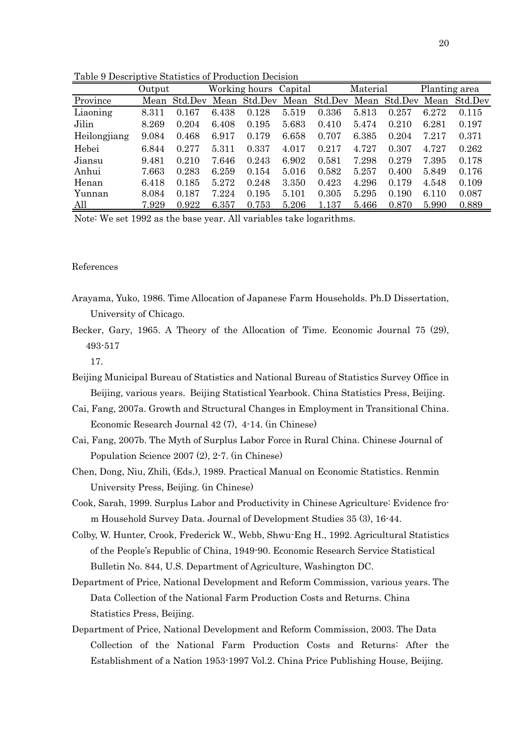|              | Output |         |       | Working hours Capital |       |         | Material |         | Planting area |         |
|--------------|--------|---------|-------|-----------------------|-------|---------|----------|---------|---------------|---------|
| Province     | Mean   | Std.Dev | Mean  | Std.Dev               | Mean  | Std.Dev | Mean     | Std.Dev | Mean          | Std.Dev |
| Liaoning     | 8.311  | 0.167   | 6.438 | 0.128                 | 5.519 | 0.336   | 5.813    | 0.257   | 6.272         | 0.115   |
| Jilin        | 8.269  | 0.204   | 6.408 | 0.195                 | 5.683 | 0.410   | 5.474    | 0.210   | 6.281         | 0.197   |
| Heilongjiang | 9.084  | 0.468   | 6.917 | 0.179                 | 6.658 | 0.707   | 6.385    | 0.204   | 7.217         | 0.371   |
| Hebei        | 6.844  | 0.277   | 5.311 | 0.337                 | 4.017 | 0.217   | 4.727    | 0.307   | 4.727         | 0.262   |
| Jiansu       | 9.481  | 0.210   | 7.646 | 0.243                 | 6.902 | 0.581   | 7.298    | 0.279   | 7.395         | 0.178   |
| Anhui        | 7.663  | 0.283   | 6.259 | 0.154                 | 5.016 | 0.582   | 5.257    | 0.400   | 5.849         | 0.176   |
| Henan        | 6.418  | 0.185   | 5.272 | 0.248                 | 3.350 | 0.423   | 4.296    | 0.179   | 4.548         | 0.109   |
| Yunnan       | 8.084  | 0.187   | 7.224 | 0.195                 | 5.101 | 0.305   | 5.295    | 0.190   | 6.110         | 0.087   |
| All          | 7.929  | 0.922   | 6.357 | 0.753                 | 5.206 | 1.137   | 5.466    | 0.870   | 5.990         | 0.889   |

Table 9 Descriptive Statistics of Production Decision

Note: We set 1992 as the base year. All variables take logarithms.

### References

- Arayama, Yuko, 1986. Time Allocation of Japanese Farm Households. Ph.D Dissertation, University of Chicago.
- Becker, Gary, 1965. A Theory of the Allocation of Time. Economic Journal 75 (29), 493-517
	- 17.
- Beijing Municipal Bureau of Statistics and National Bureau of Statistics Survey Office in Beijing, various years. Beijing Statistical Yearbook. China Statistics Press, Beijing.
- Cai, Fang, 2007a. Growth and Structural Changes in Employment in Transitional China. Economic Research Journal 42 (7), 4-14. (in Chinese)
- Cai, Fang, 2007b. The Myth of Surplus Labor Force in Rural China. Chinese Journal of Population Science 2007 (2), 2-7. (in Chinese)
- Chen, Dong, Niu, Zhili, (Eds.), 1989. Practical Manual on Economic Statistics. Renmin University Press, Beijing. (in Chinese)
- Cook, Sarah, 1999. Surplus Labor and Productivity in Chinese Agriculture: Evidence from Household Survey Data. Journal of Development Studies 35 (3), 16-44.
- Colby, W. Hunter, Crook, Frederick W., Webb, Shwu-Eng H., 1992. Agricultural Statistics of the People"s Republic of China, 1949-90. Economic Research Service Statistical Bulletin No. 844, U.S. Department of Agriculture, Washington DC.
- Department of Price, National Development and Reform Commission, various years. The Data Collection of the National Farm Production Costs and Returns. China Statistics Press, Beijing.
- Department of Price, National Development and Reform Commission, 2003. The Data Collection of the National Farm Production Costs and Returns: After the Establishment of a Nation 1953-1997 Vol.2. China Price Publishing House, Beijing.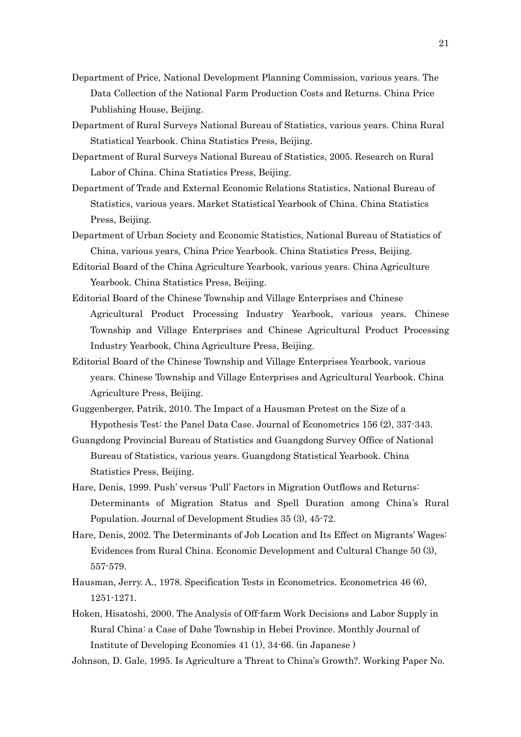- Department of Price, National Development Planning Commission, various years. The Data Collection of the National Farm Production Costs and Returns. China Price Publishing House, Beijing.
- Department of Rural Surveys National Bureau of Statistics, various years. China Rural Statistical Yearbook. China Statistics Press, Beijing.
- Department of Rural Surveys National Bureau of Statistics, 2005. Research on Rural Labor of China. China Statistics Press, Beijing.
- Department of Trade and External Economic Relations Statistics, National Bureau of Statistics, various years. Market Statistical Yearbook of China. China Statistics Press, Beijing.
- Department of Urban Society and Economic Statistics, National Bureau of Statistics of China, various years, China Price Yearbook. China Statistics Press, Beijing.
- Editorial Board of the China Agriculture Yearbook, various years. China Agriculture Yearbook. China Statistics Press, Beijing.
- Editorial Board of the Chinese Township and Village Enterprises and Chinese Agricultural Product Processing Industry Yearbook, various years. Chinese Township and Village Enterprises and Chinese Agricultural Product Processing Industry Yearbook, China Agriculture Press, Beijing.
- Editorial Board of the Chinese Township and Village Enterprises Yearbook, various years. Chinese Township and Village Enterprises and Agricultural Yearbook. China Agriculture Press, Beijing.
- Guggenberger, Patrik, 2010. The Impact of a Hausman Pretest on the Size of a Hypothesis Test: the Panel Data Case. Journal of Econometrics 156 (2), 337-343.
- Guangdong Provincial Bureau of Statistics and Guangdong Survey Office of National Bureau of Statistics, various years. Guangdong Statistical Yearbook. China Statistics Press, Beijing.
- Hare, Denis, 1999. Push' versus 'Pull' Factors in Migration Outflows and Returns: Determinants of Migration Status and Spell Duration among China's Rural Population. Journal of Development Studies 35 (3), 45-72.
- Hare, Denis, 2002. The Determinants of Job Location and Its Effect on Migrants' Wages: Evidences from Rural China. Economic Development and Cultural Change 50 (3), 557-579.
- Hausman, Jerry. A., 1978. Specification Tests in Econometrics. Econometrica 46 (6), 1251-1271.
- Hoken, Hisatoshi, 2000. The Analysis of Off-farm Work Decisions and Labor Supply in Rural China: a Case of Dahe Township in Hebei Province. Monthly Journal of Institute of Developing Economies 41 (1), 34-66. (in Japanese )
- Johnson, D. Gale, 1995. Is Agriculture a Threat to China"s Growth?. Working Paper No.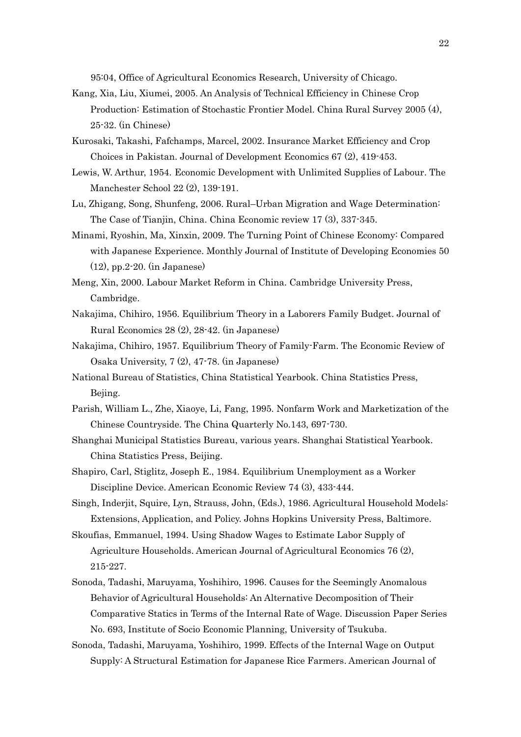95:04, Office of Agricultural Economics Research, University of Chicago.

- Kang, Xia, Liu, Xiumei, 2005. An Analysis of Technical Efficiency in Chinese Crop Production: Estimation of Stochastic Frontier Model. China Rural Survey 2005 (4), 25-32. (in Chinese)
- Kurosaki, Takashi, Fafchamps, Marcel, 2002. Insurance Market Efficiency and Crop Choices in Pakistan. Journal of Development Economics 67 (2), 419-453.
- Lewis, W. Arthur, 1954. Economic Development with Unlimited Supplies of Labour. The Manchester School 22 (2), 139-191.
- Lu, Zhigang, Song, Shunfeng, 2006. Rural–Urban Migration and Wage Determination: The Case of Tianjin, China. China Economic review 17 (3), 337-345.
- Minami, Ryoshin, Ma, Xinxin, 2009. The Turning Point of Chinese Economy: Compared with Japanese Experience. Monthly Journal of Institute of Developing Economies 50 (12), pp.2-20. (in Japanese)
- Meng, Xin, 2000. Labour Market Reform in China. Cambridge University Press, Cambridge.
- Nakajima, Chihiro, 1956. Equilibrium Theory in a Laborers Family Budget. Journal of Rural Economics 28 (2), 28-42. (in Japanese)
- Nakajima, Chihiro, 1957. Equilibrium Theory of Family-Farm. The Economic Review of Osaka University, 7 (2), 47-78. (in Japanese)
- National Bureau of Statistics, China Statistical Yearbook. China Statistics Press, Bejing.
- Parish, William L., Zhe, Xiaoye, Li, Fang, 1995. Nonfarm Work and Marketization of the Chinese Countryside. The China Quarterly No.143, 697-730.
- Shanghai Municipal Statistics Bureau, various years. Shanghai Statistical Yearbook. China Statistics Press, Beijing.
- Shapiro, Carl, Stiglitz, Joseph E., 1984. Equilibrium Unemployment as a Worker Discipline Device. American Economic Review 74 (3), 433-444.
- Singh, Inderjit, Squire, Lyn, Strauss, John, (Eds.), 1986. Agricultural Household Models: Extensions, Application, and Policy. Johns Hopkins University Press, Baltimore.
- Skoufias, Emmanuel, 1994. Using Shadow Wages to Estimate Labor Supply of Agriculture Households. American Journal of Agricultural Economics 76 (2), 215-227.
- Sonoda, Tadashi, Maruyama, Yoshihiro, 1996. Causes for the Seemingly Anomalous Behavior of Agricultural Households: An Alternative Decomposition of Their Comparative Statics in Terms of the Internal Rate of Wage. Discussion Paper Series No. 693, Institute of Socio Economic Planning, University of Tsukuba.
- Sonoda, Tadashi, Maruyama, Yoshihiro, 1999. Effects of the Internal Wage on Output Supply: A Structural Estimation for Japanese Rice Farmers. American Journal of